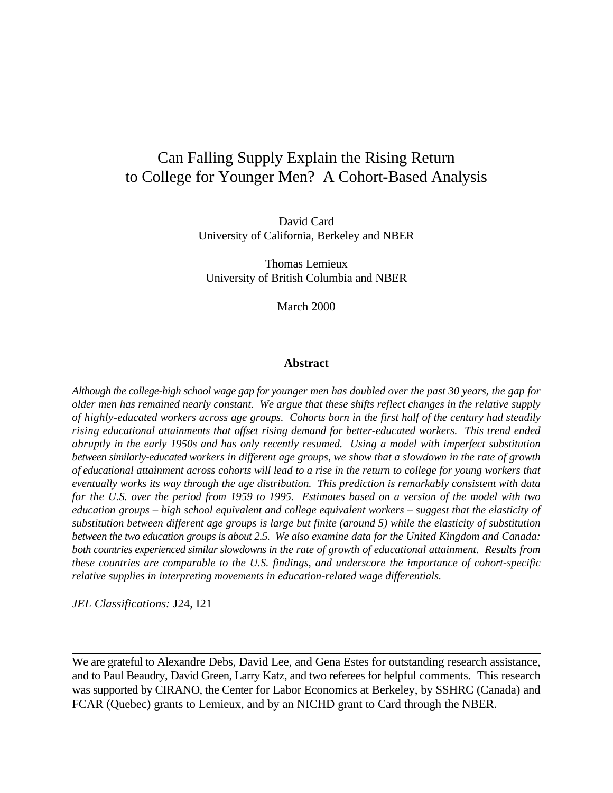# Can Falling Supply Explain the Rising Return to College for Younger Men? A Cohort-Based Analysis

David Card University of California, Berkeley and NBER

Thomas Lemieux University of British Columbia and NBER

March 2000

# **Abstract**

*Although the college-high school wage gap for younger men has doubled over the past 30 years, the gap for older men has remained nearly constant. We argue that these shifts reflect changes in the relative supply of highly-educated workers across age groups. Cohorts born in the first half of the century had steadily rising educational attainments that offset rising demand for better-educated workers. This trend ended abruptly in the early 1950s and has only recently resumed. Using a model with imperfect substitution between similarly-educated workers in different age groups, we show that a slowdown in the rate of growth of educational attainment across cohorts will lead to a rise in the return to college for young workers that eventually works its way through the age distribution. This prediction is remarkably consistent with data for the U.S. over the period from 1959 to 1995. Estimates based on a version of the model with two education groups – high school equivalent and college equivalent workers – suggest that the elasticity of substitution between different age groups is large but finite (around 5) while the elasticity of substitution between the two education groups is about 2.5. We also examine data for the United Kingdom and Canada: both countries experienced similar slowdowns in the rate of growth of educational attainment. Results from these countries are comparable to the U.S. findings, and underscore the importance of cohort-specific relative supplies in interpreting movements in education-related wage differentials.*

*JEL Classifications:* J24, I21

We are grateful to Alexandre Debs, David Lee, and Gena Estes for outstanding research assistance, and to Paul Beaudry, David Green, Larry Katz, and two referees for helpful comments. This research was supported by CIRANO, the Center for Labor Economics at Berkeley, by SSHRC (Canada) and FCAR (Quebec) grants to Lemieux, and by an NICHD grant to Card through the NBER.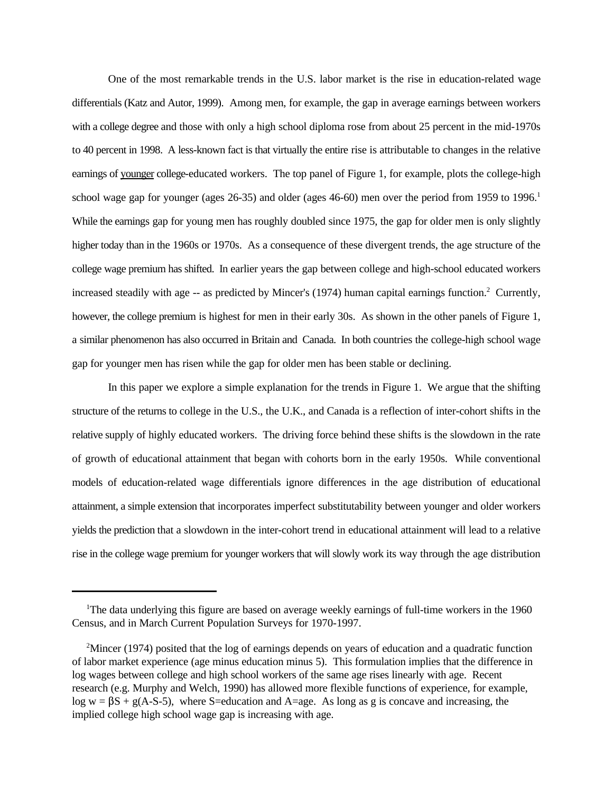One of the most remarkable trends in the U.S. labor market is the rise in education-related wage differentials (Katz and Autor, 1999). Among men, for example, the gap in average earnings between workers with a college degree and those with only a high school diploma rose from about 25 percent in the mid-1970s to 40 percent in 1998. A less-known fact is that virtually the entire rise is attributable to changes in the relative earnings of younger college-educated workers. The top panel of Figure 1, for example, plots the college-high school wage gap for younger (ages 26-35) and older (ages 46-60) men over the period from 1959 to 1996.<sup>1</sup> While the earnings gap for young men has roughly doubled since 1975, the gap for older men is only slightly higher today than in the 1960s or 1970s. As a consequence of these divergent trends, the age structure of the college wage premium has shifted. In earlier years the gap between college and high-school educated workers increased steadily with age -- as predicted by Mincer's (1974) human capital earnings function.<sup>2</sup> Currently, however, the college premium is highest for men in their early 30s. As shown in the other panels of Figure 1, a similar phenomenon has also occurred in Britain and Canada. In both countries the college-high school wage gap for younger men has risen while the gap for older men has been stable or declining.

In this paper we explore a simple explanation for the trends in Figure 1. We argue that the shifting structure of the returns to college in the U.S., the U.K., and Canada is a reflection of inter-cohort shifts in the relative supply of highly educated workers. The driving force behind these shifts is the slowdown in the rate of growth of educational attainment that began with cohorts born in the early 1950s. While conventional models of education-related wage differentials ignore differences in the age distribution of educational attainment, a simple extension that incorporates imperfect substitutability between younger and older workers yields the prediction that a slowdown in the inter-cohort trend in educational attainment will lead to a relative rise in the college wage premium for younger workers that will slowly work its way through the age distribution

<sup>&</sup>lt;sup>1</sup>The data underlying this figure are based on average weekly earnings of full-time workers in the 1960 Census, and in March Current Population Surveys for 1970-1997.

<sup>&</sup>lt;sup>2</sup>Mincer (1974) posited that the log of earnings depends on years of education and a quadratic function of labor market experience (age minus education minus 5). This formulation implies that the difference in log wages between college and high school workers of the same age rises linearly with age. Recent research (e.g. Murphy and Welch, 1990) has allowed more flexible functions of experience, for example, log  $w = \beta S + g(A-S-5)$ , where S=education and A=age. As long as g is concave and increasing, the implied college high school wage gap is increasing with age.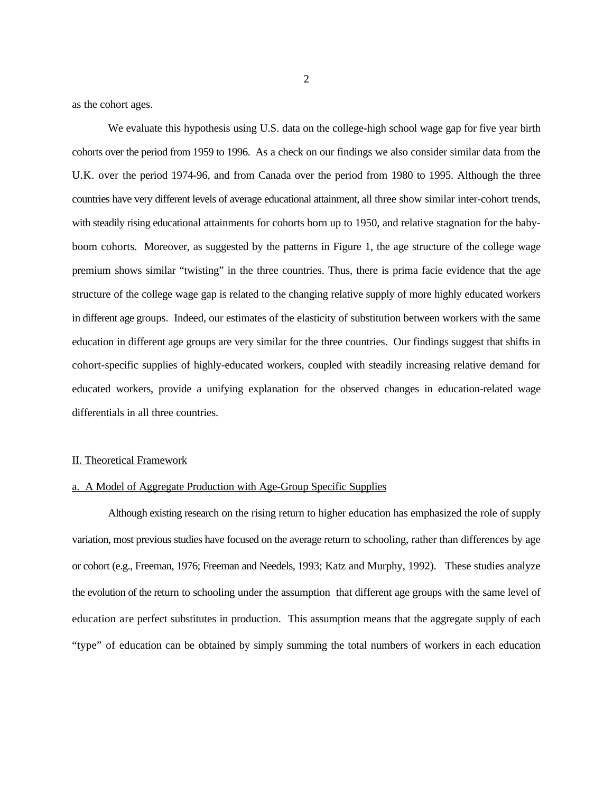as the cohort ages.

We evaluate this hypothesis using U.S. data on the college-high school wage gap for five year birth cohorts over the period from 1959 to 1996. As a check on our findings we also consider similar data from the U.K. over the period 1974-96, and from Canada over the period from 1980 to 1995. Although the three countries have very different levels of average educational attainment, all three show similar inter-cohort trends, with steadily rising educational attainments for cohorts born up to 1950, and relative stagnation for the babyboom cohorts. Moreover, as suggested by the patterns in Figure 1, the age structure of the college wage premium shows similar "twisting" in the three countries. Thus, there is prima facie evidence that the age structure of the college wage gap is related to the changing relative supply of more highly educated workers in different age groups. Indeed, our estimates of the elasticity of substitution between workers with the same education in different age groups are very similar for the three countries. Our findings suggest that shifts in cohort-specific supplies of highly-educated workers, coupled with steadily increasing relative demand for educated workers, provide a unifying explanation for the observed changes in education-related wage differentials in all three countries.

### II. Theoretical Framework

#### a. A Model of Aggregate Production with Age-Group Specific Supplies

Although existing research on the rising return to higher education has emphasized the role of supply variation, most previous studies have focused on the average return to schooling, rather than differences by age or cohort (e.g., Freeman, 1976; Freeman and Needels, 1993; Katz and Murphy, 1992). These studies analyze the evolution of the return to schooling under the assumption that different age groups with the same level of education are perfect substitutes in production. This assumption means that the aggregate supply of each "type" of education can be obtained by simply summing the total numbers of workers in each education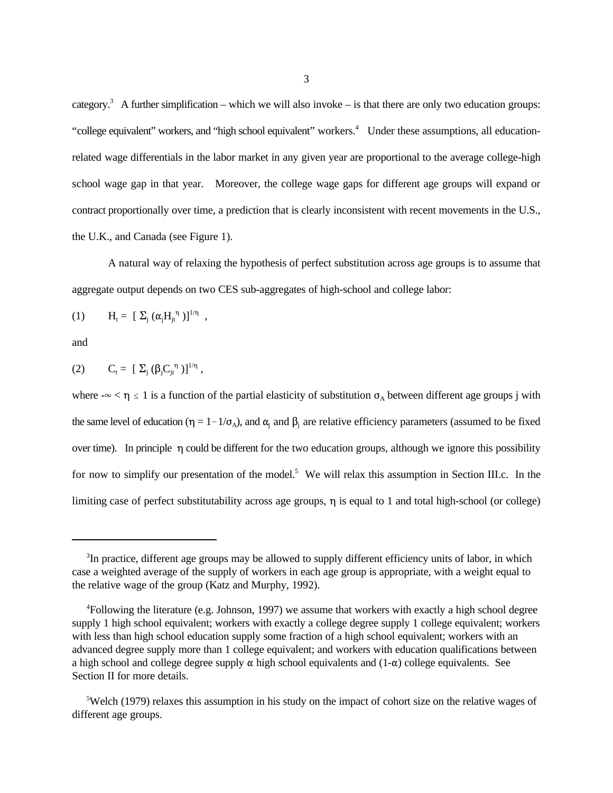category.<sup>3</sup> A further simplification – which we will also invoke – is that there are only two education groups: "college equivalent" workers, and "high school equivalent" workers.<sup>4</sup> Under these assumptions, all educationrelated wage differentials in the labor market in any given year are proportional to the average college-high school wage gap in that year. Moreover, the college wage gaps for different age groups will expand or contract proportionally over time, a prediction that is clearly inconsistent with recent movements in the U.S., the U.K., and Canada (see Figure 1).

A natural way of relaxing the hypothesis of perfect substitution across age groups is to assume that aggregate output depends on two CES sub-aggregates of high-school and college labor:

(1) 
$$
H_t = [\ \Sigma_j \ (\alpha_j H_{jt}^{\ \eta} \ )]^{1/\eta} \ ,
$$

and

$$
(2) \qquad C_t = \left[ \ \Sigma_j \left( \beta_j C_{jt}^{\ \eta} \ \right) \right]^{1/\eta},
$$

where  $-\infty < \eta \le 1$  is a function of the partial elasticity of substitution  $\sigma_A$  between different age groups j with the same level of education ( $\eta = 1-1/\sigma_A$ ), and  $\alpha_j$  and  $\beta_j$  are relative efficiency parameters (assumed to be fixed over time). In principle  $\eta$  could be different for the two education groups, although we ignore this possibility for now to simplify our presentation of the model.<sup>5</sup> We will relax this assumption in Section III.c. In the limiting case of perfect substitutability across age groups,  $\eta$  is equal to 1 and total high-school (or college)

 ${}^{3}$ In practice, different age groups may be allowed to supply different efficiency units of labor, in which case a weighted average of the supply of workers in each age group is appropriate, with a weight equal to the relative wage of the group (Katz and Murphy, 1992).

 $F$ Following the literature (e.g. Johnson, 1997) we assume that workers with exactly a high school degree supply 1 high school equivalent; workers with exactly a college degree supply 1 college equivalent; workers with less than high school education supply some fraction of a high school equivalent; workers with an advanced degree supply more than 1 college equivalent; and workers with education qualifications between a high school and college degree supply  $\alpha$  high school equivalents and (1- $\alpha$ ) college equivalents. See Section II for more details.

<sup>&</sup>lt;sup>5</sup>Welch (1979) relaxes this assumption in his study on the impact of cohort size on the relative wages of different age groups.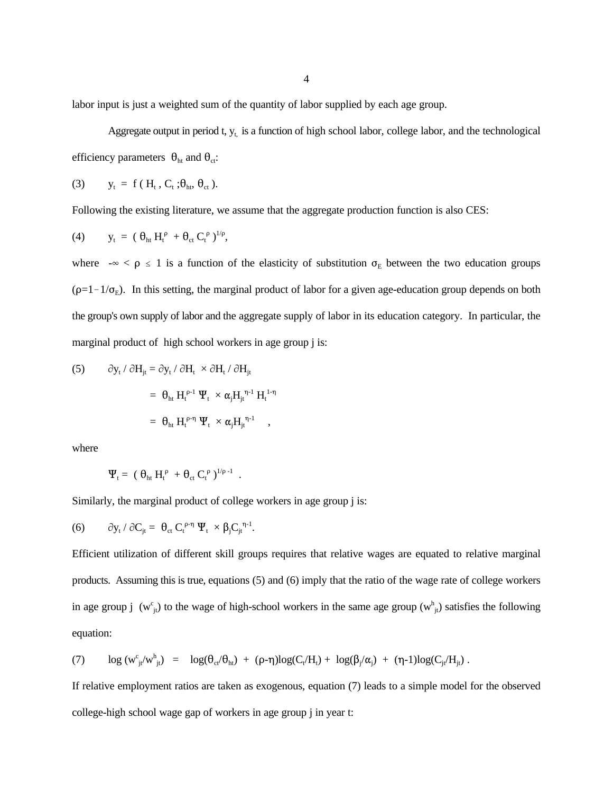labor input is just a weighted sum of the quantity of labor supplied by each age group.

Aggregate output in period t,  $y_t$  is a function of high school labor, college labor, and the technological efficiency parameters  $\theta_{\rm ht}$  and  $\theta_{\rm ct}$ :

(3) 
$$
y_t = f(H_t, C_t; \theta_{ht}, \theta_{ct}).
$$

Following the existing literature, we assume that the aggregate production function is also CES:

(4) 
$$
y_t = (\theta_{ht} H_t^{\rho} + \theta_{ct} C_t^{\rho})^{1/\rho},
$$

where  $-\infty < \rho \le 1$  is a function of the elasticity of substitution  $\sigma_E$  between the two education groups  $(p=1-1/\sigma_E)$ . In this setting, the marginal product of labor for a given age-education group depends on both the group's own supply of labor and the aggregate supply of labor in its education category. In particular, the marginal product of high school workers in age group j is:

(5) 
$$
\partial y_t / \partial H_{jt} = \partial y_t / \partial H_t \times \partial H_t / \partial H_{jt}
$$

$$
= \theta_{ht} H_t^{\rho-1} \Psi_t \times \alpha_j H_{jt}^{\eta-1} H_t^{1-\eta}
$$

$$
= \theta_{ht} H_t^{\rho-\eta} \Psi_t \times \alpha_j H_{jt}^{\eta-1} ,
$$

where

$$
\Psi_t = ( \; \theta_{ht} \; H_t^{\rho} \; + \theta_{ct} \; C_t^{\rho} \; )^{1/\rho - 1} \; .
$$

Similarly, the marginal product of college workers in age group j is:

$$
(6) \qquad \partial y_{t} \, / \, \partial C_{jt} = \, \theta_{ct} \, C_{t}^{\, \rho\text{-}\eta} \, \Psi_{t} \, \times \beta_{j} C_{jt}^{\, \eta\text{-}1}.
$$

Efficient utilization of different skill groups requires that relative wages are equated to relative marginal products. Assuming this is true, equations (5) and (6) imply that the ratio of the wage rate of college workers in age group j (w<sup>c</sup><sub>it</sub>) to the wage of high-school workers in the same age group (w<sup>h</sup><sub>it</sub>) satisfies the following equation:

$$
(7) \qquad \log{(w_{ji}^{c}/w_{ji}^{h})} \;\; = \;\; \log(\theta_{ci}/\theta_{ht}) \; + \; (\rho\text{-}\eta)log(C_{i}/H_{i}) \; + \; log(\beta_{j}/\alpha_{j}) \; + \; (\eta\text{-}1)log(C_{ji}/H_{ji}) \; .
$$

If relative employment ratios are taken as exogenous, equation (7) leads to a simple model for the observed college-high school wage gap of workers in age group j in year t: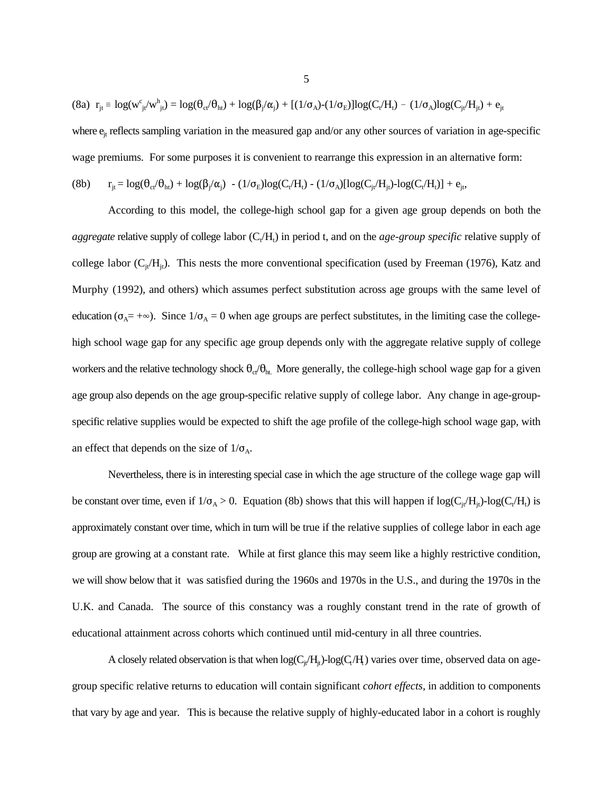(8a)  $r_{jt} \equiv \log(w_{jt}^c/w_{jt}^h) = \log(\theta_{ct}/\theta_{ht}) + \log(\beta_j/\alpha_j) + [(1/\sigma_A) - (1/\sigma_E)]\log(C_t/H_t) - (1/\sigma_A)\log(C_{jt}/H_{jt}) + e_{jt}/(1/\sigma_E)$ where  $e_{it}$  reflects sampling variation in the measured gap and/or any other sources of variation in age-specific

wage premiums. For some purposes it is convenient to rearrange this expression in an alternative form:

$$
(8b) \qquad r_{jt} = log(\theta_{ct}/\theta_{ht}) + log(\beta_j/\alpha_j) - (1/\sigma_E)log(C_t/H_t) - (1/\sigma_A)[log(C_{jt}/H_{jt}) - log(C_t/H_t)] + e_{jt},
$$

According to this model, the college-high school gap for a given age group depends on both the *aggregate* relative supply of college labor (C<sub>t</sub>/H<sub>t</sub>) in period t, and on the *age-group specific* relative supply of college labor ( $C_i/H_i$ ). This nests the more conventional specification (used by Freeman (1976), Katz and Murphy (1992), and others) which assumes perfect substitution across age groups with the same level of education ( $\sigma_A$ = + $\infty$ ). Since  $1/\sigma_A$  = 0 when age groups are perfect substitutes, in the limiting case the collegehigh school wage gap for any specific age group depends only with the aggregate relative supply of college workers and the relative technology shock  $\theta_{cr}/\theta_{ht}$ . More generally, the college-high school wage gap for a given age group also depends on the age group-specific relative supply of college labor. Any change in age-groupspecific relative supplies would be expected to shift the age profile of the college-high school wage gap, with an effect that depends on the size of  $1/\sigma_A$ .

Nevertheless, there is in interesting special case in which the age structure of the college wage gap will be constant over time, even if  $1/\sigma_A > 0$ . Equation (8b) shows that this will happen if  $log(C_{i} / H_{i})$ -log(C<sub>i</sub>/H<sub>i</sub>) is approximately constant over time, which in turn will be true if the relative supplies of college labor in each age group are growing at a constant rate. While at first glance this may seem like a highly restrictive condition, we will show below that it was satisfied during the 1960s and 1970s in the U.S., and during the 1970s in the U.K. and Canada. The source of this constancy was a roughly constant trend in the rate of growth of educational attainment across cohorts which continued until mid-century in all three countries.

A closely related observation is that when  $log(C_{ij}/H_{ii})-log(C_{i}/H_{ii})$  varies over time, observed data on agegroup specific relative returns to education will contain significant *cohort effects*, in addition to components that vary by age and year. This is because the relative supply of highly-educated labor in a cohort is roughly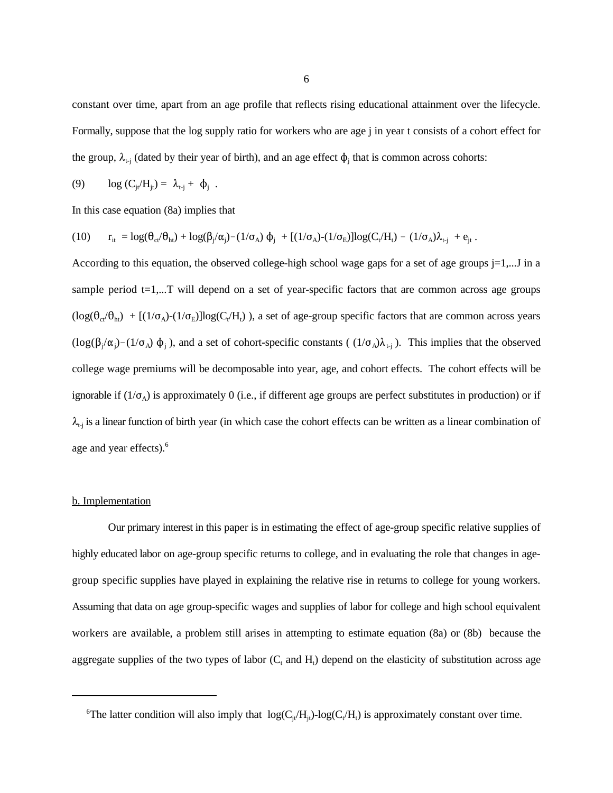constant over time, apart from an age profile that reflects rising educational attainment over the lifecycle. Formally, suppose that the log supply ratio for workers who are age j in year t consists of a cohort effect for the group,  $\lambda_{t-i}$  (dated by their year of birth), and an age effect  $\phi_i$  that is common across cohorts:

(9) 
$$
\log (C_{jt}/H_{jt}) = \lambda_{t-j} + \varphi_j.
$$

In this case equation (8a) implies that

$$
(10) \qquad r_{it} = \log(\theta_{ct}/\theta_{ht}) + \log(\beta_j/\alpha_j) - (1/\sigma_A) \phi_j + [(1/\sigma_A) - (1/\sigma_E)]\log(C_t/H_t) - (1/\sigma_A)\lambda_{t-j} + e_{jt}.
$$

According to this equation, the observed college-high school wage gaps for a set of age groups  $j=1,...J$  in a sample period t=1,...T will depend on a set of year-specific factors that are common across age groups  $(log(\theta_{\rm cr}/\theta_{\rm ht}) + [(1/\sigma_{\rm A})-(1/\sigma_{\rm E})]log(C_{\rm r}/H_{\rm t})$ , a set of age-group specific factors that are common across years  $(log(\beta_j/\alpha_j)-(1/\sigma_A) \phi_j)$ , and a set of cohort-specific constants ( $(1/\sigma_A)\lambda_{t-j}$ ). This implies that the observed college wage premiums will be decomposable into year, age, and cohort effects. The cohort effects will be ignorable if  $(1/\sigma_A)$  is approximately 0 (i.e., if different age groups are perfect substitutes in production) or if  $\lambda_{t-1}$  is a linear function of birth year (in which case the cohort effects can be written as a linear combination of age and year effects).<sup>6</sup>

### b. Implementation

Our primary interest in this paper is in estimating the effect of age-group specific relative supplies of highly educated labor on age-group specific returns to college, and in evaluating the role that changes in agegroup specific supplies have played in explaining the relative rise in returns to college for young workers. Assuming that data on age group-specific wages and supplies of labor for college and high school equivalent workers are available, a problem still arises in attempting to estimate equation (8a) or (8b) because the aggregate supplies of the two types of labor  $(C_t$  and  $H_t$ ) depend on the elasticity of substitution across age

<sup>&</sup>lt;sup>6</sup>The latter condition will also imply that  $log(C_{j} / H_{j} - log(C_{l} / H_{l})$  is approximately constant over time.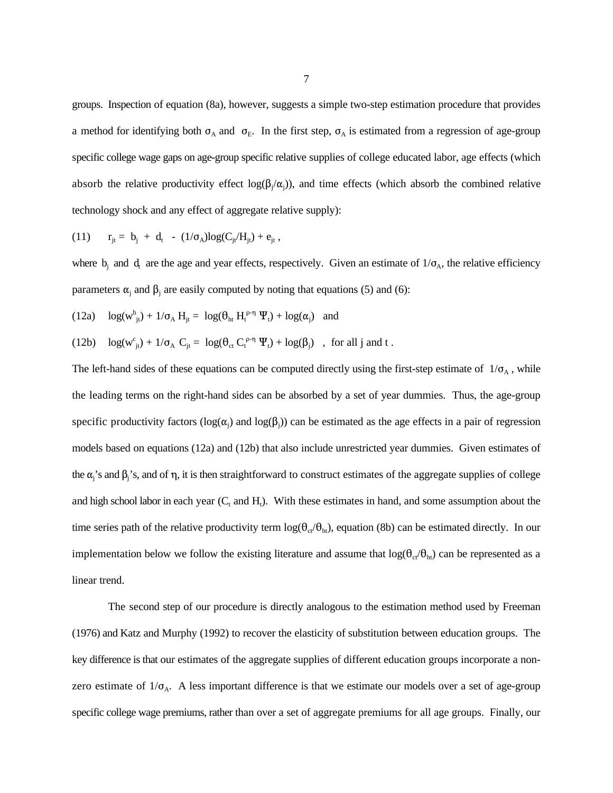groups. Inspection of equation (8a), however, suggests a simple two-step estimation procedure that provides a method for identifying both  $\sigma_A$  and  $\sigma_E$ . In the first step,  $\sigma_A$  is estimated from a regression of age-group specific college wage gaps on age-group specific relative supplies of college educated labor, age effects (which absorb the relative productivity effect  $log(\beta_j/\alpha_j)$ , and time effects (which absorb the combined relative technology shock and any effect of aggregate relative supply):

(11) 
$$
r_{jt} = b_j + d_t - (1/\sigma_A)log(C_{jt}/H_{jt}) + e_{jt}
$$
,

where  $b_j$  and  $d_i$  are the age and year effects, respectively. Given an estimate of  $1/\sigma_A$ , the relative efficiency parameters  $\alpha_i$  and  $\beta_i$  are easily computed by noting that equations (5) and (6):

(12a) 
$$
\log(w_{ji}^h) + 1/\sigma_A H_{ji} = \log(\theta_{ht} H_t^{\rho \cdot \eta} \Psi_t) + \log(\alpha_j)
$$
 and

(12b) 
$$
\log(w_{jl}^c) + 1/\sigma_A C_{jt} = \log(\theta_{ct} C_t^{\rho \cdot \eta} \Psi_t) + \log(\beta_j)
$$
, for all j and t.

The left-hand sides of these equations can be computed directly using the first-step estimate of  $1/\sigma_A$ , while the leading terms on the right-hand sides can be absorbed by a set of year dummies. Thus, the age-group specific productivity factors ( $log(\alpha_j)$  and  $log(\beta_j)$ ) can be estimated as the age effects in a pair of regression models based on equations (12a) and (12b) that also include unrestricted year dummies. Given estimates of the  $\alpha_j$ 's and  $\beta_j$ 's, and of  $\eta$ , it is then straightforward to construct estimates of the aggregate supplies of college and high school labor in each year  $(C_t$  and  $H_t$ ). With these estimates in hand, and some assumption about the time series path of the relative productivity term  $\log(\theta_{\rm cr}/\theta_{\rm ht})$ , equation (8b) can be estimated directly. In our implementation below we follow the existing literature and assume that  $log(\theta_{cr}/\theta_{br})$  can be represented as a linear trend.

The second step of our procedure is directly analogous to the estimation method used by Freeman (1976) and Katz and Murphy (1992) to recover the elasticity of substitution between education groups. The key difference is that our estimates of the aggregate supplies of different education groups incorporate a nonzero estimate of  $1/\sigma_A$ . A less important difference is that we estimate our models over a set of age-group specific college wage premiums, rather than over a set of aggregate premiums for all age groups. Finally, our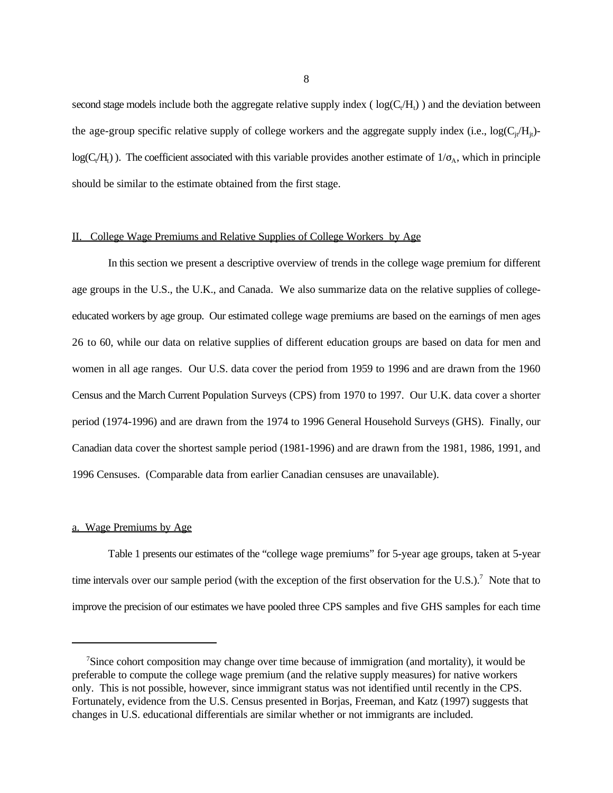second stage models include both the aggregate relative supply index ( $log(C_t/H_t)$ ) and the deviation between the age-group specific relative supply of college workers and the aggregate supply index (i.e.,  $log(C_{\rm it}/H_{\rm it})$  $log(C_t/H_t)$ ). The coefficient associated with this variable provides another estimate of  $1/\sigma_A$ , which in principle should be similar to the estimate obtained from the first stage.

# II. College Wage Premiums and Relative Supplies of College Workers by Age

In this section we present a descriptive overview of trends in the college wage premium for different age groups in the U.S., the U.K., and Canada. We also summarize data on the relative supplies of collegeeducated workers by age group. Our estimated college wage premiums are based on the earnings of men ages 26 to 60, while our data on relative supplies of different education groups are based on data for men and women in all age ranges. Our U.S. data cover the period from 1959 to 1996 and are drawn from the 1960 Census and the March Current Population Surveys (CPS) from 1970 to 1997. Our U.K. data cover a shorter period (1974-1996) and are drawn from the 1974 to 1996 General Household Surveys (GHS). Finally, our Canadian data cover the shortest sample period (1981-1996) and are drawn from the 1981, 1986, 1991, and 1996 Censuses. (Comparable data from earlier Canadian censuses are unavailable).

#### a. Wage Premiums by Age

Table 1 presents our estimates of the "college wage premiums" for 5-year age groups, taken at 5-year time intervals over our sample period (with the exception of the first observation for the  $U.S.$ ).<sup>7</sup> Note that to improve the precision of our estimates we have pooled three CPS samples and five GHS samples for each time

<sup>&</sup>lt;sup>7</sup>Since cohort composition may change over time because of immigration (and mortality), it would be preferable to compute the college wage premium (and the relative supply measures) for native workers only. This is not possible, however, since immigrant status was not identified until recently in the CPS. Fortunately, evidence from the U.S. Census presented in Borjas, Freeman, and Katz (1997) suggests that changes in U.S. educational differentials are similar whether or not immigrants are included.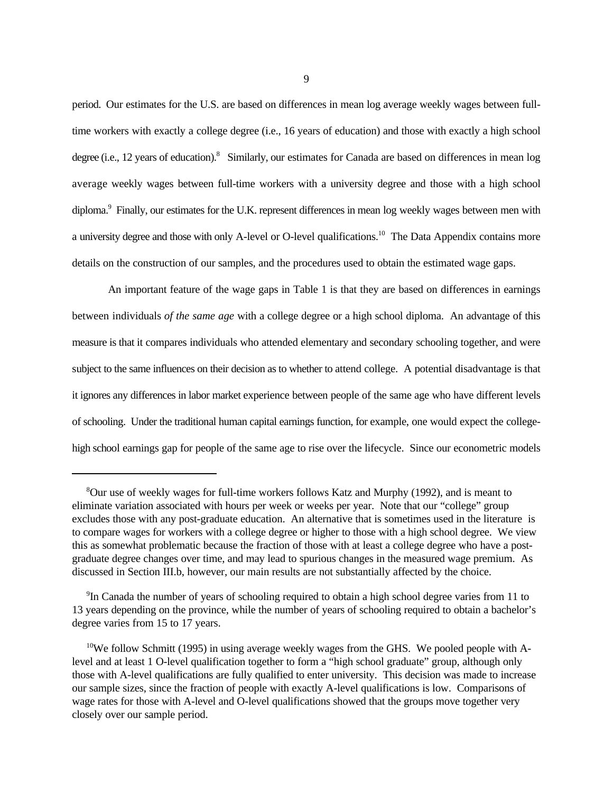period. Our estimates for the U.S. are based on differences in mean log average weekly wages between fulltime workers with exactly a college degree (i.e., 16 years of education) and those with exactly a high school degree (i.e., 12 years of education).<sup>8</sup> Similarly, our estimates for Canada are based on differences in mean log average weekly wages between full-time workers with a university degree and those with a high school diploma.<sup>9</sup> Finally, our estimates for the U.K. represent differences in mean log weekly wages between men with a university degree and those with only A-level or O-level qualifications.<sup>10</sup> The Data Appendix contains more details on the construction of our samples, and the procedures used to obtain the estimated wage gaps.

An important feature of the wage gaps in Table 1 is that they are based on differences in earnings between individuals *of the same age* with a college degree or a high school diploma. An advantage of this measure is that it compares individuals who attended elementary and secondary schooling together, and were subject to the same influences on their decision as to whether to attend college. A potential disadvantage is that it ignores any differences in labor market experience between people of the same age who have different levels of schooling. Under the traditional human capital earnings function, for example, one would expect the collegehigh school earnings gap for people of the same age to rise over the lifecycle. Since our econometric models

 $\delta$ Our use of weekly wages for full-time workers follows Katz and Murphy (1992), and is meant to eliminate variation associated with hours per week or weeks per year. Note that our "college" group excludes those with any post-graduate education. An alternative that is sometimes used in the literature is to compare wages for workers with a college degree or higher to those with a high school degree. We view this as somewhat problematic because the fraction of those with at least a college degree who have a postgraduate degree changes over time, and may lead to spurious changes in the measured wage premium. As discussed in Section III.b, however, our main results are not substantially affected by the choice.

<sup>&</sup>lt;sup>9</sup>In Canada the number of years of schooling required to obtain a high school degree varies from 11 to 13 years depending on the province, while the number of years of schooling required to obtain a bachelor's degree varies from 15 to 17 years.

<sup>&</sup>lt;sup>10</sup>We follow Schmitt (1995) in using average weekly wages from the GHS. We pooled people with Alevel and at least 1 O-level qualification together to form a "high school graduate" group, although only those with A-level qualifications are fully qualified to enter university. This decision was made to increase our sample sizes, since the fraction of people with exactly A-level qualifications is low. Comparisons of wage rates for those with A-level and O-level qualifications showed that the groups move together very closely over our sample period.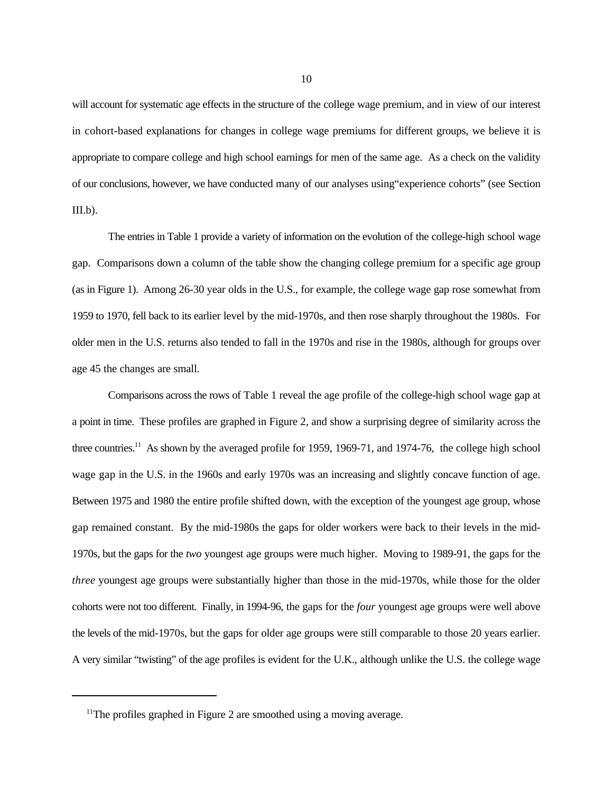will account for systematic age effects in the structure of the college wage premium, and in view of our interest in cohort-based explanations for changes in college wage premiums for different groups, we believe it is appropriate to compare college and high school earnings for men of the same age. As a check on the validity of our conclusions, however, we have conducted many of our analyses using"experience cohorts" (see Section  $III.b$ ).

The entries in Table 1 provide a variety of information on the evolution of the college-high school wage gap. Comparisons down a column of the table show the changing college premium for a specific age group (as in Figure 1). Among 26-30 year olds in the U.S., for example, the college wage gap rose somewhat from 1959 to 1970, fell back to its earlier level by the mid-1970s, and then rose sharply throughout the 1980s. For older men in the U.S. returns also tended to fall in the 1970s and rise in the 1980s, although for groups over age 45 the changes are small.

Comparisons across the rows of Table 1 reveal the age profile of the college-high school wage gap at a point in time. These profiles are graphed in Figure 2, and show a surprising degree of similarity across the three countries.<sup>11</sup> As shown by the averaged profile for 1959, 1969-71, and 1974-76, the college high school wage gap in the U.S. in the 1960s and early 1970s was an increasing and slightly concave function of age. Between 1975 and 1980 the entire profile shifted down, with the exception of the youngest age group, whose gap remained constant. By the mid-1980s the gaps for older workers were back to their levels in the mid-1970s, but the gaps for the *two* youngest age groups were much higher. Moving to 1989-91, the gaps for the *three* youngest age groups were substantially higher than those in the mid-1970s, while those for the older cohorts were not too different. Finally, in 1994-96, the gaps for the *four* youngest age groups were well above the levels of the mid-1970s, but the gaps for older age groups were still comparable to those 20 years earlier. A very similar "twisting" of the age profiles is evident for the U.K., although unlike the U.S. the college wage

 $11$ The profiles graphed in Figure 2 are smoothed using a moving average.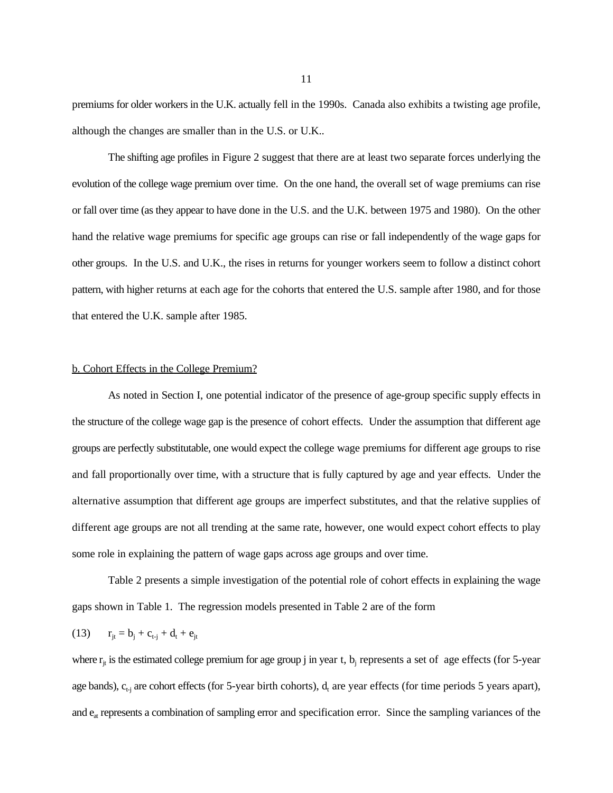premiums for older workers in the U.K. actually fell in the 1990s. Canada also exhibits a twisting age profile, although the changes are smaller than in the U.S. or U.K..

The shifting age profiles in Figure 2 suggest that there are at least two separate forces underlying the evolution of the college wage premium over time. On the one hand, the overall set of wage premiums can rise or fall over time (as they appear to have done in the U.S. and the U.K. between 1975 and 1980). On the other hand the relative wage premiums for specific age groups can rise or fall independently of the wage gaps for other groups. In the U.S. and U.K., the rises in returns for younger workers seem to follow a distinct cohort pattern, with higher returns at each age for the cohorts that entered the U.S. sample after 1980, and for those that entered the U.K. sample after 1985.

## b. Cohort Effects in the College Premium?

As noted in Section I, one potential indicator of the presence of age-group specific supply effects in the structure of the college wage gap is the presence of cohort effects. Under the assumption that different age groups are perfectly substitutable, one would expect the college wage premiums for different age groups to rise and fall proportionally over time, with a structure that is fully captured by age and year effects. Under the alternative assumption that different age groups are imperfect substitutes, and that the relative supplies of different age groups are not all trending at the same rate, however, one would expect cohort effects to play some role in explaining the pattern of wage gaps across age groups and over time.

Table 2 presents a simple investigation of the potential role of cohort effects in explaining the wage gaps shown in Table 1. The regression models presented in Table 2 are of the form

(13) 
$$
r_{jt} = b_j + c_{t-j} + d_t + e_{jt}
$$

where  $r_{it}$  is the estimated college premium for age group j in year t,  $b_i$  represents a set of age effects (for 5-year age bands),  $c_{\rm ti}$  are cohort effects (for 5-year birth cohorts),  $d_{\rm t}$  are year effects (for time periods 5 years apart), and eat represents a combination of sampling error and specification error. Since the sampling variances of the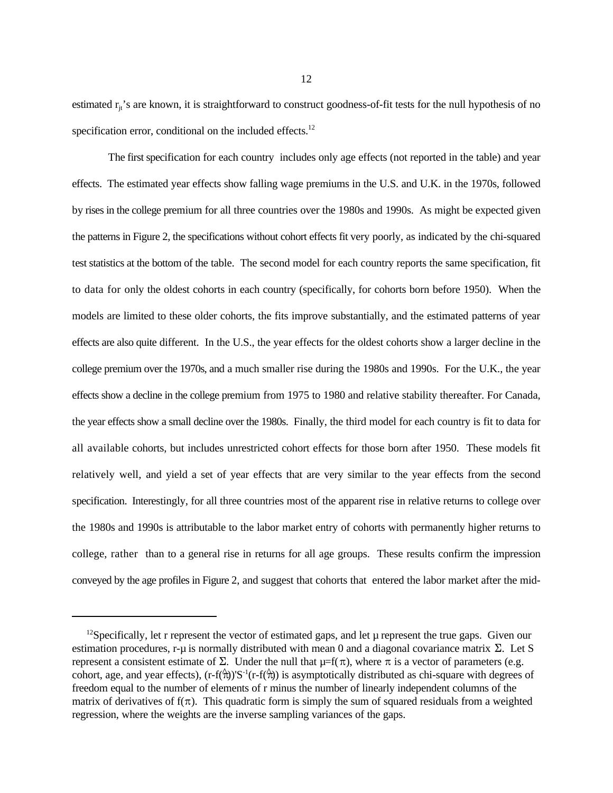estimated  $r_{it}$ 's are known, it is straightforward to construct goodness-of-fit tests for the null hypothesis of no specification error, conditional on the included effects.<sup>12</sup>

The first specification for each country includes only age effects (not reported in the table) and year effects. The estimated year effects show falling wage premiums in the U.S. and U.K. in the 1970s, followed by rises in the college premium for all three countries over the 1980s and 1990s. As might be expected given the patterns in Figure 2, the specifications without cohort effects fit very poorly, as indicated by the chi-squared test statistics at the bottom of the table. The second model for each country reports the same specification, fit to data for only the oldest cohorts in each country (specifically, for cohorts born before 1950). When the models are limited to these older cohorts, the fits improve substantially, and the estimated patterns of year effects are also quite different. In the U.S., the year effects for the oldest cohorts show a larger decline in the college premium over the 1970s, and a much smaller rise during the 1980s and 1990s. For the U.K., the year effects show a decline in the college premium from 1975 to 1980 and relative stability thereafter. For Canada, the year effects show a small decline over the 1980s. Finally, the third model for each country is fit to data for all available cohorts, but includes unrestricted cohort effects for those born after 1950. These models fit relatively well, and yield a set of year effects that are very similar to the year effects from the second specification. Interestingly, for all three countries most of the apparent rise in relative returns to college over the 1980s and 1990s is attributable to the labor market entry of cohorts with permanently higher returns to college, rather than to a general rise in returns for all age groups. These results confirm the impression conveyed by the age profiles in Figure 2, and suggest that cohorts that entered the labor market after the mid-

<sup>&</sup>lt;sup>12</sup>Specifically, let r represent the vector of estimated gaps, and let  $\mu$  represent the true gaps. Given our estimation procedures, r-µ is normally distributed with mean 0 and a diagonal covariance matrix  $\Sigma$ . Let S represent a consistent estimate of  $\Sigma$ . Under the null that  $\mu=f(\pi)$ , where  $\pi$  is a vector of parameters (e.g. cohort, age, and year effects),  $(r-f(\hat{\pi})) S^{-1}(r-f(\hat{\pi}))$  is asymptotically distributed as chi-square with degrees of freedom equal to the number of elements of r minus the number of linearly independent columns of the matrix of derivatives of  $f(\pi)$ . This quadratic form is simply the sum of squared residuals from a weighted regression, where the weights are the inverse sampling variances of the gaps.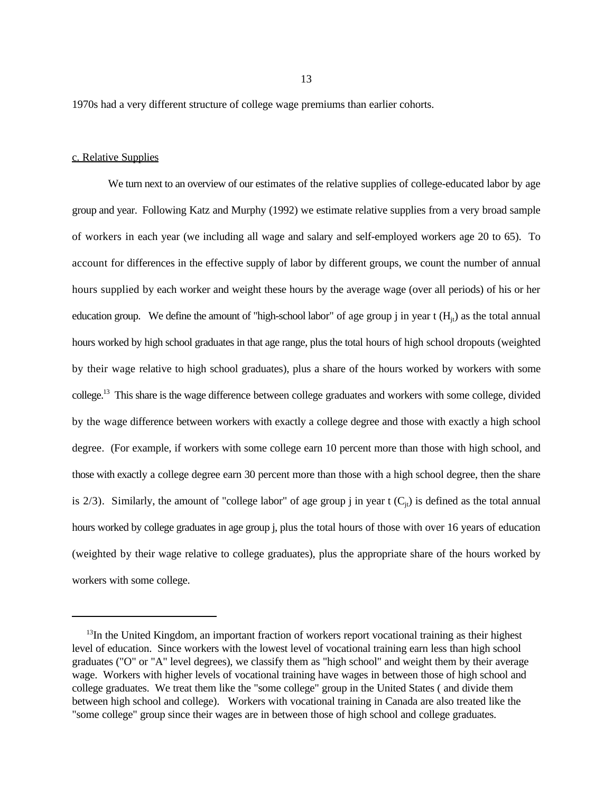1970s had a very different structure of college wage premiums than earlier cohorts.

### c. Relative Supplies

We turn next to an overview of our estimates of the relative supplies of college-educated labor by age group and year. Following Katz and Murphy (1992) we estimate relative supplies from a very broad sample of workers in each year (we including all wage and salary and self-employed workers age 20 to 65). To account for differences in the effective supply of labor by different groups, we count the number of annual hours supplied by each worker and weight these hours by the average wage (over all periods) of his or her education group. We define the amount of "high-school labor" of age group j in year  $t(H<sub>ii</sub>)$  as the total annual hours worked by high school graduates in that age range, plus the total hours of high school dropouts (weighted by their wage relative to high school graduates), plus a share of the hours worked by workers with some college.<sup>13</sup> This share is the wage difference between college graduates and workers with some college, divided by the wage difference between workers with exactly a college degree and those with exactly a high school degree. (For example, if workers with some college earn 10 percent more than those with high school, and those with exactly a college degree earn 30 percent more than those with a high school degree, then the share is 2/3). Similarly, the amount of "college labor" of age group j in year t  $(C_{i}$ ) is defined as the total annual hours worked by college graduates in age group j, plus the total hours of those with over 16 years of education (weighted by their wage relative to college graduates), plus the appropriate share of the hours worked by workers with some college.

 $13$ In the United Kingdom, an important fraction of workers report vocational training as their highest level of education. Since workers with the lowest level of vocational training earn less than high school graduates ("O" or "A" level degrees), we classify them as "high school" and weight them by their average wage. Workers with higher levels of vocational training have wages in between those of high school and college graduates. We treat them like the "some college" group in the United States ( and divide them between high school and college). Workers with vocational training in Canada are also treated like the "some college" group since their wages are in between those of high school and college graduates.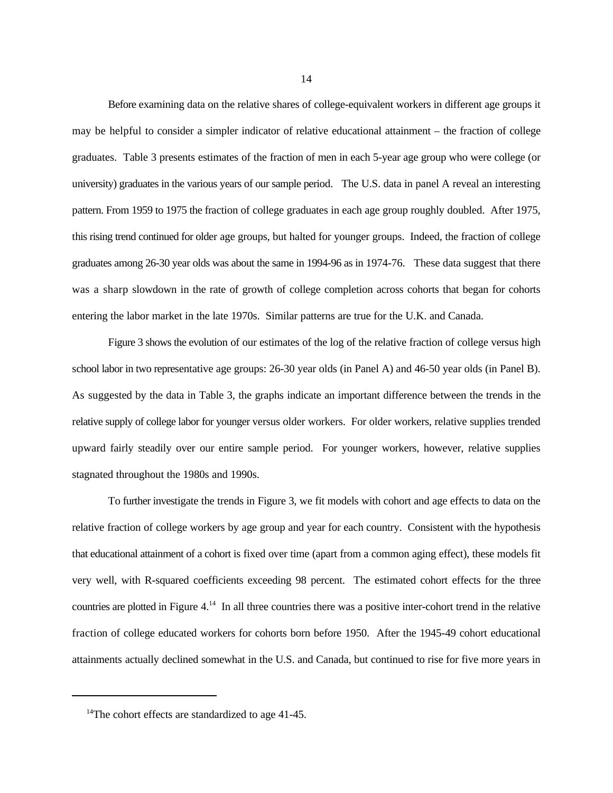Before examining data on the relative shares of college-equivalent workers in different age groups it may be helpful to consider a simpler indicator of relative educational attainment – the fraction of college graduates. Table 3 presents estimates of the fraction of men in each 5-year age group who were college (or university) graduates in the various years of our sample period. The U.S. data in panel A reveal an interesting pattern. From 1959 to 1975 the fraction of college graduates in each age group roughly doubled. After 1975, this rising trend continued for older age groups, but halted for younger groups. Indeed, the fraction of college graduates among 26-30 year olds was about the same in 1994-96 as in 1974-76. These data suggest that there was a sharp slowdown in the rate of growth of college completion across cohorts that began for cohorts entering the labor market in the late 1970s. Similar patterns are true for the U.K. and Canada.

Figure 3 shows the evolution of our estimates of the log of the relative fraction of college versus high school labor in two representative age groups: 26-30 year olds (in Panel A) and 46-50 year olds (in Panel B). As suggested by the data in Table 3, the graphs indicate an important difference between the trends in the relative supply of college labor for younger versus older workers. For older workers, relative supplies trended upward fairly steadily over our entire sample period. For younger workers, however, relative supplies stagnated throughout the 1980s and 1990s.

To further investigate the trends in Figure 3, we fit models with cohort and age effects to data on the relative fraction of college workers by age group and year for each country. Consistent with the hypothesis that educational attainment of a cohort is fixed over time (apart from a common aging effect), these models fit very well, with R-squared coefficients exceeding 98 percent. The estimated cohort effects for the three countries are plotted in Figure  $4<sup>14</sup>$ . In all three countries there was a positive inter-cohort trend in the relative fraction of college educated workers for cohorts born before 1950. After the 1945-49 cohort educational attainments actually declined somewhat in the U.S. and Canada, but continued to rise for five more years in

<sup>&</sup>lt;sup>14</sup>The cohort effects are standardized to age 41-45.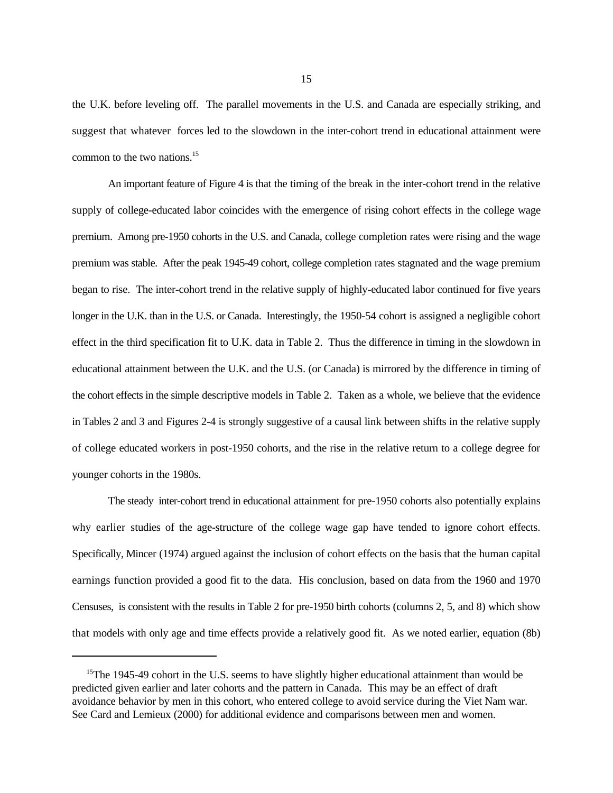the U.K. before leveling off. The parallel movements in the U.S. and Canada are especially striking, and suggest that whatever forces led to the slowdown in the inter-cohort trend in educational attainment were common to the two nations.<sup>15</sup>

An important feature of Figure 4 is that the timing of the break in the inter-cohort trend in the relative supply of college-educated labor coincides with the emergence of rising cohort effects in the college wage premium. Among pre-1950 cohorts in the U.S. and Canada, college completion rates were rising and the wage premium was stable. After the peak 1945-49 cohort, college completion rates stagnated and the wage premium began to rise. The inter-cohort trend in the relative supply of highly-educated labor continued for five years longer in the U.K. than in the U.S. or Canada. Interestingly, the 1950-54 cohort is assigned a negligible cohort effect in the third specification fit to U.K. data in Table 2. Thus the difference in timing in the slowdown in educational attainment between the U.K. and the U.S. (or Canada) is mirrored by the difference in timing of the cohort effects in the simple descriptive models in Table 2. Taken as a whole, we believe that the evidence in Tables 2 and 3 and Figures 2-4 is strongly suggestive of a causal link between shifts in the relative supply of college educated workers in post-1950 cohorts, and the rise in the relative return to a college degree for younger cohorts in the 1980s.

The steady inter-cohort trend in educational attainment for pre-1950 cohorts also potentially explains why earlier studies of the age-structure of the college wage gap have tended to ignore cohort effects. Specifically, Mincer (1974) argued against the inclusion of cohort effects on the basis that the human capital earnings function provided a good fit to the data. His conclusion, based on data from the 1960 and 1970 Censuses, is consistent with the results in Table 2 for pre-1950 birth cohorts (columns 2, 5, and 8) which show that models with only age and time effects provide a relatively good fit. As we noted earlier, equation (8b)

<sup>&</sup>lt;sup>15</sup>The 1945-49 cohort in the U.S. seems to have slightly higher educational attainment than would be predicted given earlier and later cohorts and the pattern in Canada. This may be an effect of draft avoidance behavior by men in this cohort, who entered college to avoid service during the Viet Nam war. See Card and Lemieux (2000) for additional evidence and comparisons between men and women.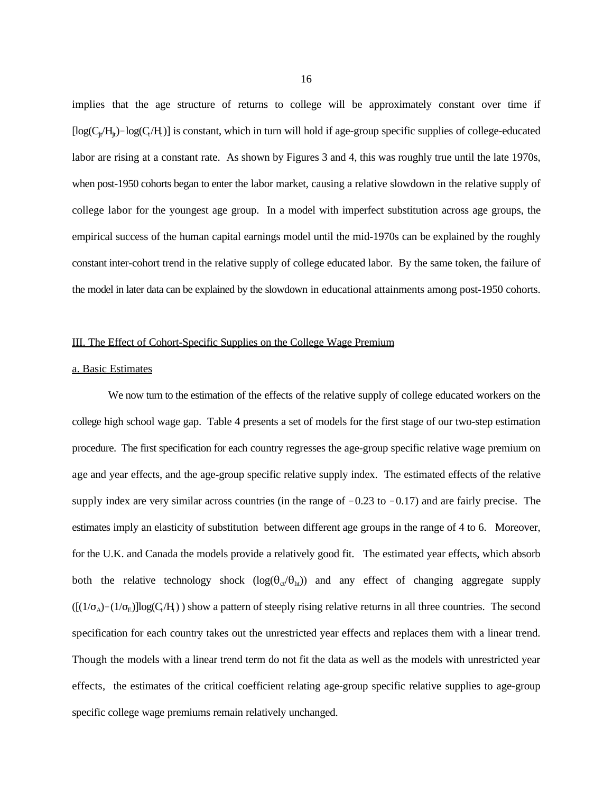implies that the age structure of returns to college will be approximately constant over time if  $[log(C_{ji}/H_{jt})$ -log(C<sub>i</sub>/H<sub>)</sub>] is constant, which in turn will hold if age-group specific supplies of college-educated labor are rising at a constant rate. As shown by Figures 3 and 4, this was roughly true until the late 1970s, when post-1950 cohorts began to enter the labor market, causing a relative slowdown in the relative supply of college labor for the youngest age group. In a model with imperfect substitution across age groups, the empirical success of the human capital earnings model until the mid-1970s can be explained by the roughly constant inter-cohort trend in the relative supply of college educated labor. By the same token, the failure of the model in later data can be explained by the slowdown in educational attainments among post-1950 cohorts.

### III. The Effect of Cohort-Specific Supplies on the College Wage Premium

# a. Basic Estimates

We now turn to the estimation of the effects of the relative supply of college educated workers on the college high school wage gap. Table 4 presents a set of models for the first stage of our two-step estimation procedure. The first specification for each country regresses the age-group specific relative wage premium on age and year effects, and the age-group specific relative supply index. The estimated effects of the relative supply index are very similar across countries (in the range of  $-0.23$  to  $-0.17$ ) and are fairly precise. The estimates imply an elasticity of substitution between different age groups in the range of 4 to 6. Moreover, for the U.K. and Canada the models provide a relatively good fit. The estimated year effects, which absorb both the relative technology shock  $(log(\theta_{cr}/\theta_{bt}))$  and any effect of changing aggregate supply  $([(1/\sigma_A) - (1/\sigma_E)]\log(C_f/H)$ ) show a pattern of steeply rising relative returns in all three countries. The second specification for each country takes out the unrestricted year effects and replaces them with a linear trend. Though the models with a linear trend term do not fit the data as well as the models with unrestricted year effects, the estimates of the critical coefficient relating age-group specific relative supplies to age-group specific college wage premiums remain relatively unchanged.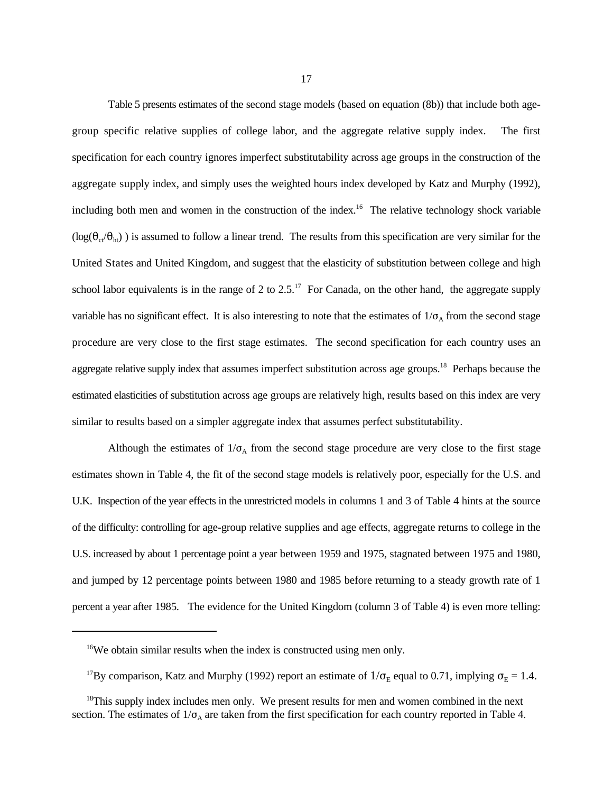Table 5 presents estimates of the second stage models (based on equation (8b)) that include both agegroup specific relative supplies of college labor, and the aggregate relative supply index. The first specification for each country ignores imperfect substitutability across age groups in the construction of the aggregate supply index, and simply uses the weighted hours index developed by Katz and Murphy (1992), including both men and women in the construction of the index.<sup>16</sup> The relative technology shock variable  $(log(\theta_{\rm cr}/\theta_{\rm ht}))$  is assumed to follow a linear trend. The results from this specification are very similar for the United States and United Kingdom, and suggest that the elasticity of substitution between college and high school labor equivalents is in the range of 2 to 2.5.<sup>17</sup> For Canada, on the other hand, the aggregate supply variable has no significant effect. It is also interesting to note that the estimates of  $1/\sigma_A$  from the second stage procedure are very close to the first stage estimates. The second specification for each country uses an aggregate relative supply index that assumes imperfect substitution across age groups.<sup>18</sup> Perhaps because the estimated elasticities of substitution across age groups are relatively high, results based on this index are very similar to results based on a simpler aggregate index that assumes perfect substitutability.

Although the estimates of  $1/\sigma_A$  from the second stage procedure are very close to the first stage estimates shown in Table 4, the fit of the second stage models is relatively poor, especially for the U.S. and U.K. Inspection of the year effects in the unrestricted models in columns 1 and 3 of Table 4 hints at the source of the difficulty: controlling for age-group relative supplies and age effects, aggregate returns to college in the U.S. increased by about 1 percentage point a year between 1959 and 1975, stagnated between 1975 and 1980, and jumped by 12 percentage points between 1980 and 1985 before returning to a steady growth rate of 1 percent a year after 1985. The evidence for the United Kingdom (column 3 of Table 4) is even more telling:

 $16$ We obtain similar results when the index is constructed using men only.

<sup>&</sup>lt;sup>17</sup>By comparison, Katz and Murphy (1992) report an estimate of  $1/\sigma_E$  equal to 0.71, implying  $\sigma_E = 1.4$ .

 $18$ This supply index includes men only. We present results for men and women combined in the next section. The estimates of  $1/\sigma_A$  are taken from the first specification for each country reported in Table 4.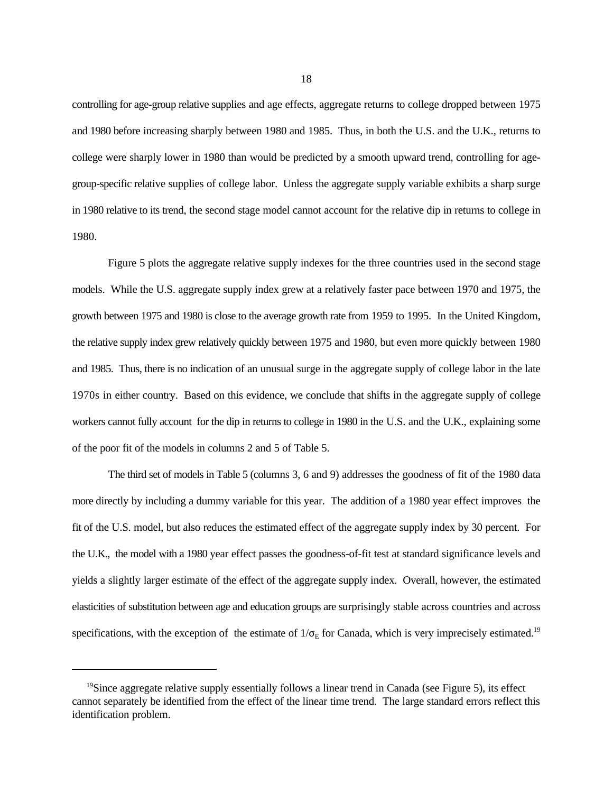controlling for age-group relative supplies and age effects, aggregate returns to college dropped between 1975 and 1980 before increasing sharply between 1980 and 1985. Thus, in both the U.S. and the U.K., returns to college were sharply lower in 1980 than would be predicted by a smooth upward trend, controlling for agegroup-specific relative supplies of college labor. Unless the aggregate supply variable exhibits a sharp surge in 1980 relative to its trend, the second stage model cannot account for the relative dip in returns to college in 1980.

Figure 5 plots the aggregate relative supply indexes for the three countries used in the second stage models. While the U.S. aggregate supply index grew at a relatively faster pace between 1970 and 1975, the growth between 1975 and 1980 is close to the average growth rate from 1959 to 1995. In the United Kingdom, the relative supply index grew relatively quickly between 1975 and 1980, but even more quickly between 1980 and 1985. Thus, there is no indication of an unusual surge in the aggregate supply of college labor in the late 1970s in either country. Based on this evidence, we conclude that shifts in the aggregate supply of college workers cannot fully account for the dip in returns to college in 1980 in the U.S. and the U.K., explaining some of the poor fit of the models in columns 2 and 5 of Table 5.

The third set of models in Table 5 (columns 3, 6 and 9) addresses the goodness of fit of the 1980 data more directly by including a dummy variable for this year. The addition of a 1980 year effect improves the fit of the U.S. model, but also reduces the estimated effect of the aggregate supply index by 30 percent. For the U.K., the model with a 1980 year effect passes the goodness-of-fit test at standard significance levels and yields a slightly larger estimate of the effect of the aggregate supply index. Overall, however, the estimated elasticities of substitution between age and education groups are surprisingly stable across countries and across specifications, with the exception of the estimate of  $1/\sigma_E$  for Canada, which is very imprecisely estimated.<sup>19</sup>

<sup>&</sup>lt;sup>19</sup>Since aggregate relative supply essentially follows a linear trend in Canada (see Figure 5), its effect cannot separately be identified from the effect of the linear time trend. The large standard errors reflect this identification problem.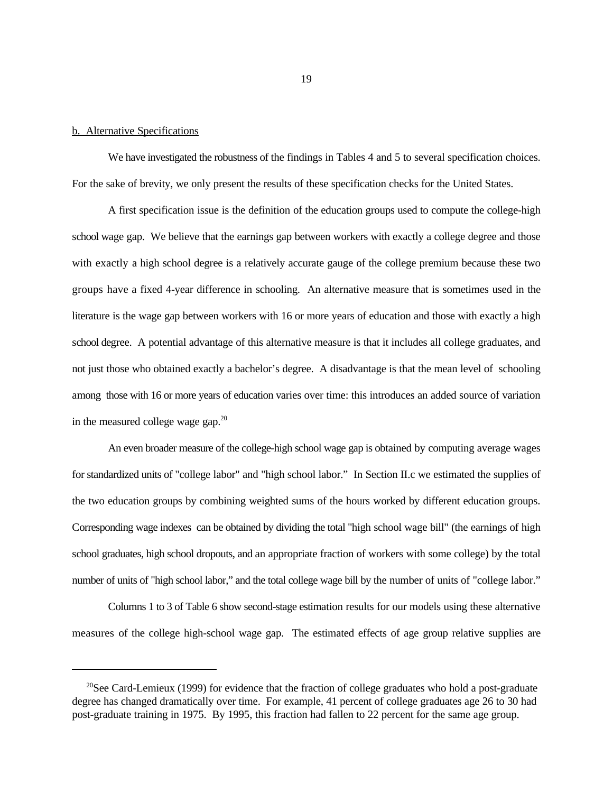#### b. Alternative Specifications

We have investigated the robustness of the findings in Tables 4 and 5 to several specification choices. For the sake of brevity, we only present the results of these specification checks for the United States.

A first specification issue is the definition of the education groups used to compute the college-high school wage gap. We believe that the earnings gap between workers with exactly a college degree and those with exactly a high school degree is a relatively accurate gauge of the college premium because these two groups have a fixed 4-year difference in schooling. An alternative measure that is sometimes used in the literature is the wage gap between workers with 16 or more years of education and those with exactly a high school degree. A potential advantage of this alternative measure is that it includes all college graduates, and not just those who obtained exactly a bachelor's degree. A disadvantage is that the mean level of schooling among those with 16 or more years of education varies over time: this introduces an added source of variation in the measured college wage gap. $20$ 

An even broader measure of the college-high school wage gap is obtained by computing average wages for standardized units of "college labor" and "high school labor." In Section II.c we estimated the supplies of the two education groups by combining weighted sums of the hours worked by different education groups. Corresponding wage indexes can be obtained by dividing the total "high school wage bill" (the earnings of high school graduates, high school dropouts, and an appropriate fraction of workers with some college) by the total number of units of "high school labor," and the total college wage bill by the number of units of "college labor."

Columns 1 to 3 of Table 6 show second-stage estimation results for our models using these alternative measures of the college high-school wage gap. The estimated effects of age group relative supplies are

<sup>&</sup>lt;sup>20</sup>See Card-Lemieux (1999) for evidence that the fraction of college graduates who hold a post-graduate degree has changed dramatically over time. For example, 41 percent of college graduates age 26 to 30 had post-graduate training in 1975. By 1995, this fraction had fallen to 22 percent for the same age group.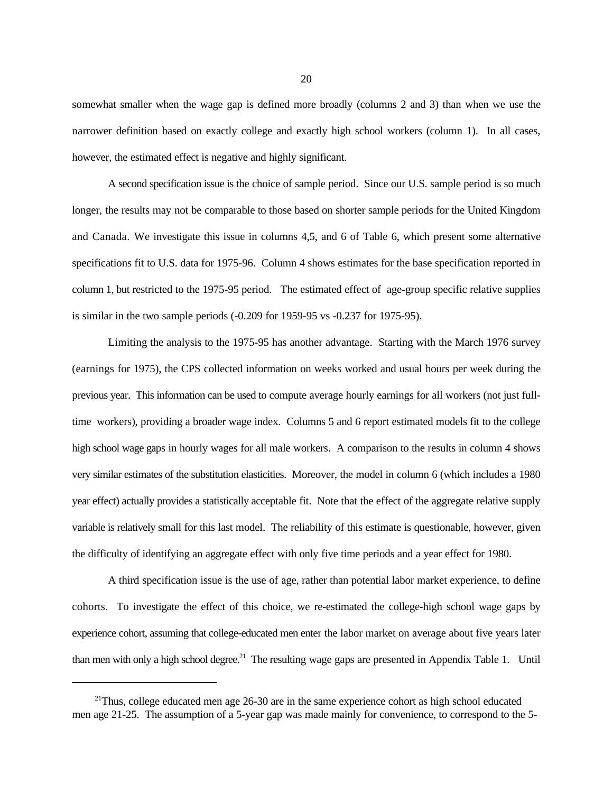somewhat smaller when the wage gap is defined more broadly (columns 2 and 3) than when we use the narrower definition based on exactly college and exactly high school workers (column 1). In all cases, however, the estimated effect is negative and highly significant.

A second specification issue is the choice of sample period. Since our U.S. sample period is so much longer, the results may not be comparable to those based on shorter sample periods for the United Kingdom and Canada. We investigate this issue in columns 4,5, and 6 of Table 6, which present some alternative specifications fit to U.S. data for 1975-96. Column 4 shows estimates for the base specification reported in column 1, but restricted to the 1975-95 period. The estimated effect of age-group specific relative supplies is similar in the two sample periods (-0.209 for 1959-95 vs -0.237 for 1975-95).

Limiting the analysis to the 1975-95 has another advantage. Starting with the March 1976 survey (earnings for 1975), the CPS collected information on weeks worked and usual hours per week during the previous year. This information can be used to compute average hourly earnings for all workers (not just fulltime workers), providing a broader wage index. Columns 5 and 6 report estimated models fit to the college high school wage gaps in hourly wages for all male workers. A comparison to the results in column 4 shows very similar estimates of the substitution elasticities. Moreover, the model in column 6 (which includes a 1980 year effect) actually provides a statistically acceptable fit. Note that the effect of the aggregate relative supply variable is relatively small for this last model. The reliability of this estimate is questionable, however, given the difficulty of identifying an aggregate effect with only five time periods and a year effect for 1980.

A third specification issue is the use of age, rather than potential labor market experience, to define cohorts. To investigate the effect of this choice, we re-estimated the college-high school wage gaps by experience cohort, assuming that college-educated men enter the labor market on average about five years later than men with only a high school degree.<sup>21</sup> The resulting wage gaps are presented in Appendix Table 1. Until

 $^{21}$ Thus, college educated men age 26-30 are in the same experience cohort as high school educated men age 21-25. The assumption of a 5-year gap was made mainly for convenience, to correspond to the 5-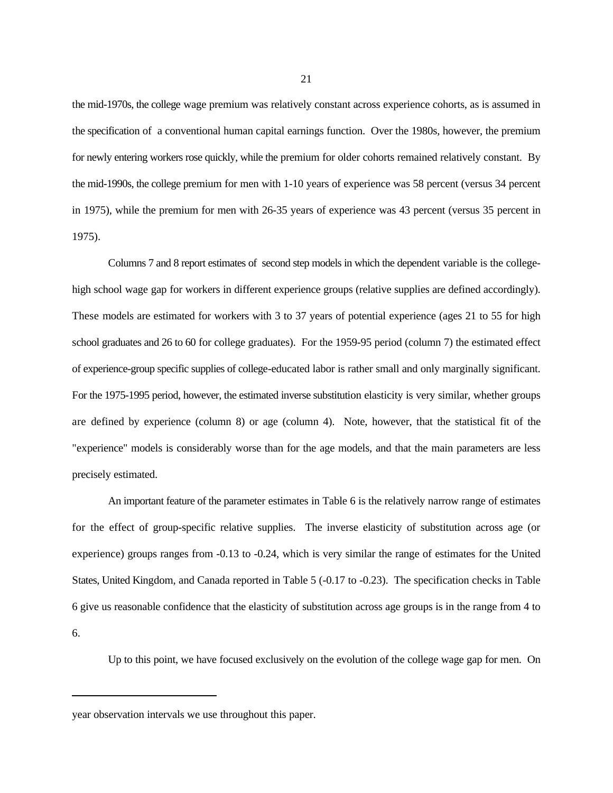the mid-1970s, the college wage premium was relatively constant across experience cohorts, as is assumed in the specification of a conventional human capital earnings function. Over the 1980s, however, the premium for newly entering workers rose quickly, while the premium for older cohorts remained relatively constant. By the mid-1990s, the college premium for men with 1-10 years of experience was 58 percent (versus 34 percent in 1975), while the premium for men with 26-35 years of experience was 43 percent (versus 35 percent in 1975).

Columns 7 and 8 report estimates of second step models in which the dependent variable is the collegehigh school wage gap for workers in different experience groups (relative supplies are defined accordingly). These models are estimated for workers with 3 to 37 years of potential experience (ages 21 to 55 for high school graduates and 26 to 60 for college graduates). For the 1959-95 period (column 7) the estimated effect of experience-group specific supplies of college-educated labor is rather small and only marginally significant. For the 1975-1995 period, however, the estimated inverse substitution elasticity is very similar, whether groups are defined by experience (column 8) or age (column 4). Note, however, that the statistical fit of the "experience" models is considerably worse than for the age models, and that the main parameters are less precisely estimated.

An important feature of the parameter estimates in Table 6 is the relatively narrow range of estimates for the effect of group-specific relative supplies. The inverse elasticity of substitution across age (or experience) groups ranges from -0.13 to -0.24, which is very similar the range of estimates for the United States, United Kingdom, and Canada reported in Table 5 (-0.17 to -0.23). The specification checks in Table 6 give us reasonable confidence that the elasticity of substitution across age groups is in the range from 4 to 6.

Up to this point, we have focused exclusively on the evolution of the college wage gap for men. On

year observation intervals we use throughout this paper.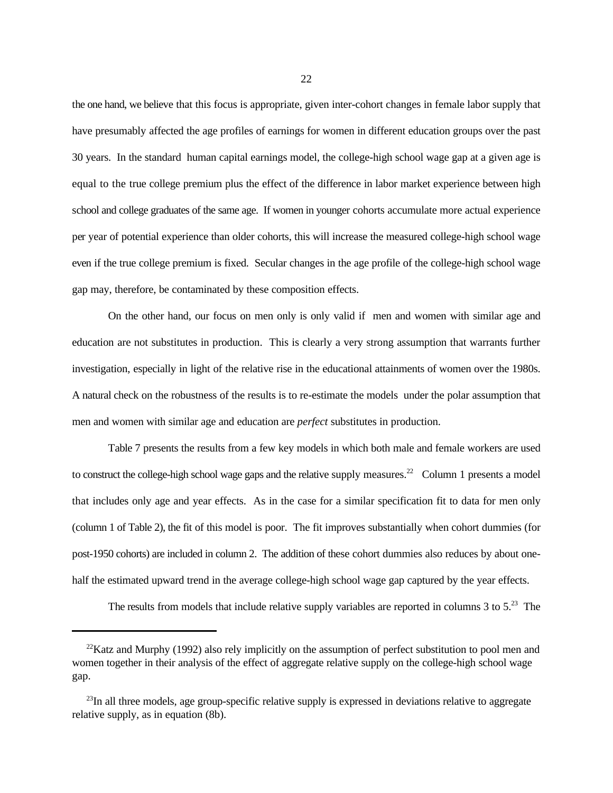the one hand, we believe that this focus is appropriate, given inter-cohort changes in female labor supply that have presumably affected the age profiles of earnings for women in different education groups over the past 30 years. In the standard human capital earnings model, the college-high school wage gap at a given age is equal to the true college premium plus the effect of the difference in labor market experience between high school and college graduates of the same age. If women in younger cohorts accumulate more actual experience per year of potential experience than older cohorts, this will increase the measured college-high school wage even if the true college premium is fixed. Secular changes in the age profile of the college-high school wage gap may, therefore, be contaminated by these composition effects.

On the other hand, our focus on men only is only valid if men and women with similar age and education are not substitutes in production. This is clearly a very strong assumption that warrants further investigation, especially in light of the relative rise in the educational attainments of women over the 1980s. A natural check on the robustness of the results is to re-estimate the models under the polar assumption that men and women with similar age and education are *perfect* substitutes in production.

Table 7 presents the results from a few key models in which both male and female workers are used to construct the college-high school wage gaps and the relative supply measures.<sup>22</sup> Column 1 presents a model that includes only age and year effects. As in the case for a similar specification fit to data for men only (column 1 of Table 2), the fit of this model is poor. The fit improves substantially when cohort dummies (for post-1950 cohorts) are included in column 2. The addition of these cohort dummies also reduces by about onehalf the estimated upward trend in the average college-high school wage gap captured by the year effects.

The results from models that include relative supply variables are reported in columns  $3$  to  $5.^{23}$ . The

 $^{22}$ Katz and Murphy (1992) also rely implicitly on the assumption of perfect substitution to pool men and women together in their analysis of the effect of aggregate relative supply on the college-high school wage gap.

 $^{23}$ In all three models, age group-specific relative supply is expressed in deviations relative to aggregate relative supply, as in equation (8b).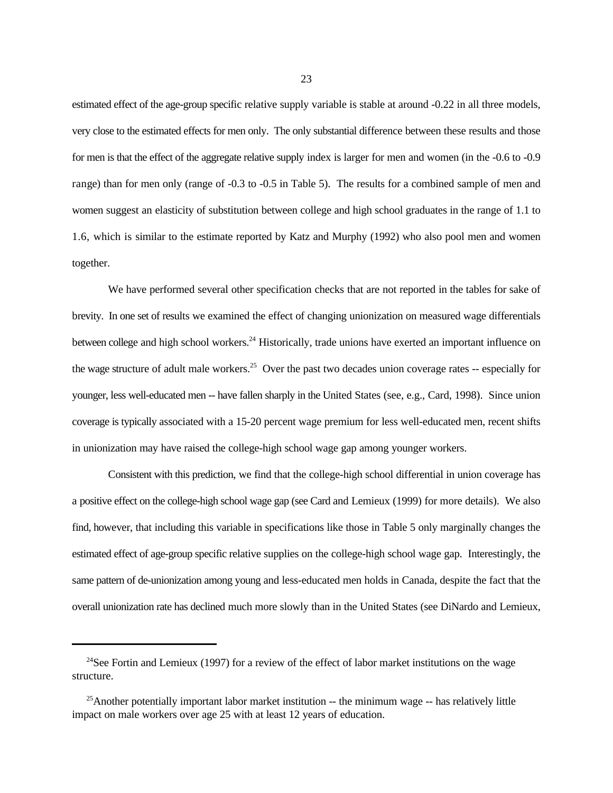estimated effect of the age-group specific relative supply variable is stable at around -0.22 in all three models, very close to the estimated effects for men only. The only substantial difference between these results and those for men is that the effect of the aggregate relative supply index is larger for men and women (in the -0.6 to -0.9 range) than for men only (range of -0.3 to -0.5 in Table 5). The results for a combined sample of men and women suggest an elasticity of substitution between college and high school graduates in the range of 1.1 to 1.6, which is similar to the estimate reported by Katz and Murphy (1992) who also pool men and women together.

We have performed several other specification checks that are not reported in the tables for sake of brevity. In one set of results we examined the effect of changing unionization on measured wage differentials between college and high school workers.<sup>24</sup> Historically, trade unions have exerted an important influence on the wage structure of adult male workers.<sup>25</sup> Over the past two decades union coverage rates  $-$  especially for younger, less well-educated men -- have fallen sharply in the United States (see, e.g., Card, 1998). Since union coverage is typically associated with a 15-20 percent wage premium for less well-educated men, recent shifts in unionization may have raised the college-high school wage gap among younger workers.

Consistent with this prediction, we find that the college-high school differential in union coverage has a positive effect on the college-high school wage gap (see Card and Lemieux (1999) for more details). We also find, however, that including this variable in specifications like those in Table 5 only marginally changes the estimated effect of age-group specific relative supplies on the college-high school wage gap. Interestingly, the same pattern of de-unionization among young and less-educated men holds in Canada, despite the fact that the overall unionization rate has declined much more slowly than in the United States (see DiNardo and Lemieux,

<sup>&</sup>lt;sup>24</sup>See Fortin and Lemieux (1997) for a review of the effect of labor market institutions on the wage structure.

 $25$ Another potentially important labor market institution  $-$  the minimum wage  $-$  has relatively little impact on male workers over age 25 with at least 12 years of education.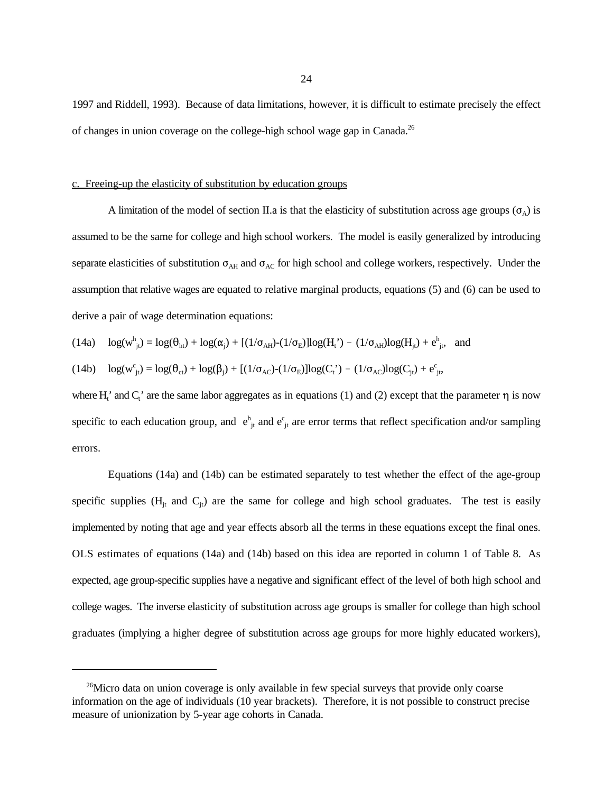1997 and Riddell, 1993). Because of data limitations, however, it is difficult to estimate precisely the effect of changes in union coverage on the college-high school wage gap in Canada.<sup>26</sup>

# c. Freeing-up the elasticity of substitution by education groups

A limitation of the model of section II.a is that the elasticity of substitution across age groups ( $\sigma_A$ ) is assumed to be the same for college and high school workers. The model is easily generalized by introducing separate elasticities of substitution  $\sigma_{AH}$  and  $\sigma_{AC}$  for high school and college workers, respectively. Under the assumption that relative wages are equated to relative marginal products, equations (5) and (6) can be used to derive a pair of wage determination equations:

$$
(14a)\quad \log(w_{ji}^h) = \log(\theta_{ht}) + \log(\alpha_j) + [(1/\sigma_{AH}) - (1/\sigma_E)]\log(H_i^{\star}) - (1/\sigma_{AH})\log(H_{jt}) + e_{ji}^h,\text{ and}
$$

$$
(14b)\quad log(w_{ji}^{c}) = log(\theta_{ci}) + log(\beta_{j}) + [(1/\sigma_{AC})-(1/\sigma_{E})]log(C_{t}^{c}) - (1/\sigma_{AC})log(C_{jt}) + e_{jt}^{c},
$$

where  $H_t$  and  $C_t$  are the same labor aggregates as in equations (1) and (2) except that the parameter  $\eta$  is now specific to each education group, and  $e_{j}^{h}$  and  $e_{j}^{c}$  are error terms that reflect specification and/or sampling errors.

Equations (14a) and (14b) can be estimated separately to test whether the effect of the age-group specific supplies  $(H_{it}$  and  $C_{it}$ ) are the same for college and high school graduates. The test is easily implemented by noting that age and year effects absorb all the terms in these equations except the final ones. OLS estimates of equations (14a) and (14b) based on this idea are reported in column 1 of Table 8. As expected, age group-specific supplies have a negative and significant effect of the level of both high school and college wages. The inverse elasticity of substitution across age groups is smaller for college than high school graduates (implying a higher degree of substitution across age groups for more highly educated workers),

 $26$ Micro data on union coverage is only available in few special surveys that provide only coarse information on the age of individuals (10 year brackets). Therefore, it is not possible to construct precise measure of unionization by 5-year age cohorts in Canada.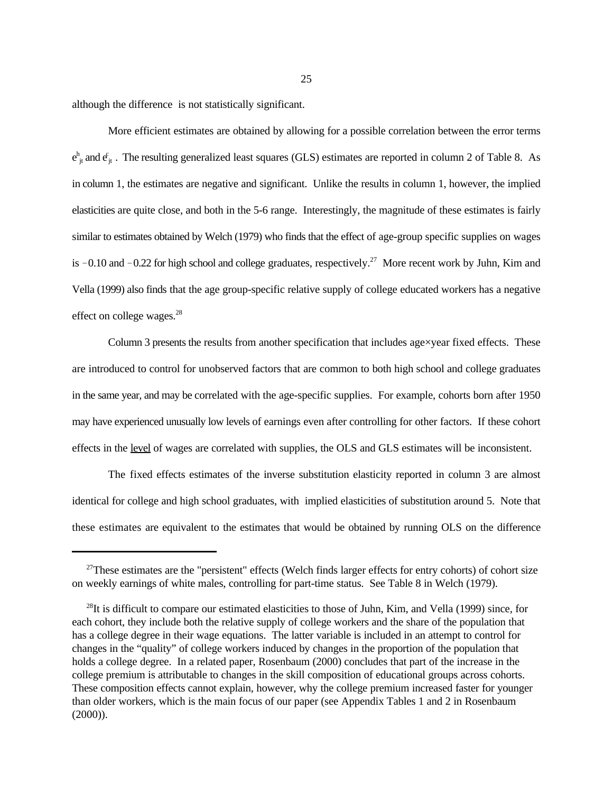although the difference is not statistically significant.

More efficient estimates are obtained by allowing for a possible correlation between the error terms  $e^{h}_{j}$  and  $e^{f}_{jt}$ . The resulting generalized least squares (GLS) estimates are reported in column 2 of Table 8. As in column 1, the estimates are negative and significant. Unlike the results in column 1, however, the implied elasticities are quite close, and both in the 5-6 range. Interestingly, the magnitude of these estimates is fairly similar to estimates obtained by Welch (1979) who finds that the effect of age-group specific supplies on wages is  $-0.10$  and  $-0.22$  for high school and college graduates, respectively.<sup>27</sup> More recent work by Juhn, Kim and Vella (1999) also finds that the age group-specific relative supply of college educated workers has a negative effect on college wages.<sup>28</sup>

Column 3 presents the results from another specification that includes age×year fixed effects. These are introduced to control for unobserved factors that are common to both high school and college graduates in the same year, and may be correlated with the age-specific supplies. For example, cohorts born after 1950 may have experienced unusually low levels of earnings even after controlling for other factors. If these cohort effects in the level of wages are correlated with supplies, the OLS and GLS estimates will be inconsistent.

The fixed effects estimates of the inverse substitution elasticity reported in column 3 are almost identical for college and high school graduates, with implied elasticities of substitution around 5. Note that these estimates are equivalent to the estimates that would be obtained by running OLS on the difference

<sup>&</sup>lt;sup>27</sup>These estimates are the "persistent" effects (Welch finds larger effects for entry cohorts) of cohort size on weekly earnings of white males, controlling for part-time status. See Table 8 in Welch (1979).

<sup>&</sup>lt;sup>28</sup>It is difficult to compare our estimated elasticities to those of Juhn, Kim, and Vella (1999) since, for each cohort, they include both the relative supply of college workers and the share of the population that has a college degree in their wage equations. The latter variable is included in an attempt to control for changes in the "quality" of college workers induced by changes in the proportion of the population that holds a college degree. In a related paper, Rosenbaum (2000) concludes that part of the increase in the college premium is attributable to changes in the skill composition of educational groups across cohorts. These composition effects cannot explain, however, why the college premium increased faster for younger than older workers, which is the main focus of our paper (see Appendix Tables 1 and 2 in Rosenbaum  $(2000)$ ).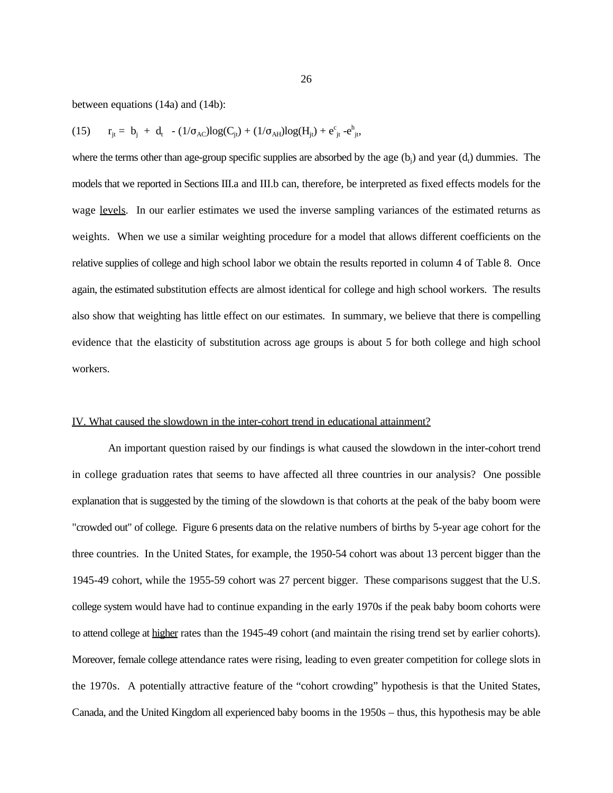between equations (14a) and (14b):

(15) 
$$
r_{jt} = b_j + d_t - (1/\sigma_{AC})log(C_{jt}) + (1/\sigma_{AH})log(H_{jt}) + e_{jt}^c - e_{jt}^h
$$

where the terms other than age-group specific supplies are absorbed by the age  $(b_j)$  and year  $(d_t)$  dummies. The models that we reported in Sections III.a and III.b can, therefore, be interpreted as fixed effects models for the wage levels. In our earlier estimates we used the inverse sampling variances of the estimated returns as weights. When we use a similar weighting procedure for a model that allows different coefficients on the relative supplies of college and high school labor we obtain the results reported in column 4 of Table 8. Once again, the estimated substitution effects are almost identical for college and high school workers. The results also show that weighting has little effect on our estimates. In summary, we believe that there is compelling evidence that the elasticity of substitution across age groups is about 5 for both college and high school workers.

#### IV. What caused the slowdown in the inter-cohort trend in educational attainment?

An important question raised by our findings is what caused the slowdown in the inter-cohort trend in college graduation rates that seems to have affected all three countries in our analysis? One possible explanation that is suggested by the timing of the slowdown is that cohorts at the peak of the baby boom were "crowded out" of college. Figure 6 presents data on the relative numbers of births by 5-year age cohort for the three countries. In the United States, for example, the 1950-54 cohort was about 13 percent bigger than the 1945-49 cohort, while the 1955-59 cohort was 27 percent bigger. These comparisons suggest that the U.S. college system would have had to continue expanding in the early 1970s if the peak baby boom cohorts were to attend college at higher rates than the 1945-49 cohort (and maintain the rising trend set by earlier cohorts). Moreover, female college attendance rates were rising, leading to even greater competition for college slots in the 1970s. A potentially attractive feature of the "cohort crowding" hypothesis is that the United States, Canada, and the United Kingdom all experienced baby booms in the 1950s – thus, this hypothesis may be able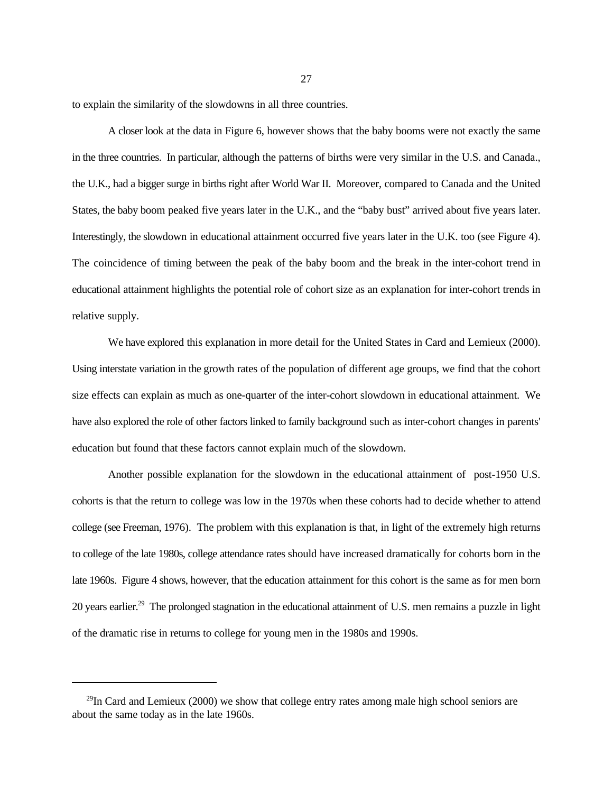to explain the similarity of the slowdowns in all three countries.

A closer look at the data in Figure 6, however shows that the baby booms were not exactly the same in the three countries. In particular, although the patterns of births were very similar in the U.S. and Canada., the U.K., had a bigger surge in births right after World War II. Moreover, compared to Canada and the United States, the baby boom peaked five years later in the U.K., and the "baby bust" arrived about five years later. Interestingly, the slowdown in educational attainment occurred five years later in the U.K. too (see Figure 4). The coincidence of timing between the peak of the baby boom and the break in the inter-cohort trend in educational attainment highlights the potential role of cohort size as an explanation for inter-cohort trends in relative supply.

We have explored this explanation in more detail for the United States in Card and Lemieux (2000). Using interstate variation in the growth rates of the population of different age groups, we find that the cohort size effects can explain as much as one-quarter of the inter-cohort slowdown in educational attainment. We have also explored the role of other factors linked to family background such as inter-cohort changes in parents' education but found that these factors cannot explain much of the slowdown.

Another possible explanation for the slowdown in the educational attainment of post-1950 U.S. cohorts is that the return to college was low in the 1970s when these cohorts had to decide whether to attend college (see Freeman, 1976). The problem with this explanation is that, in light of the extremely high returns to college of the late 1980s, college attendance rates should have increased dramatically for cohorts born in the late 1960s. Figure 4 shows, however, that the education attainment for this cohort is the same as for men born 20 years earlier.<sup>29</sup> The prolonged stagnation in the educational attainment of U.S. men remains a puzzle in light of the dramatic rise in returns to college for young men in the 1980s and 1990s.

 $^{29}$ In Card and Lemieux (2000) we show that college entry rates among male high school seniors are about the same today as in the late 1960s.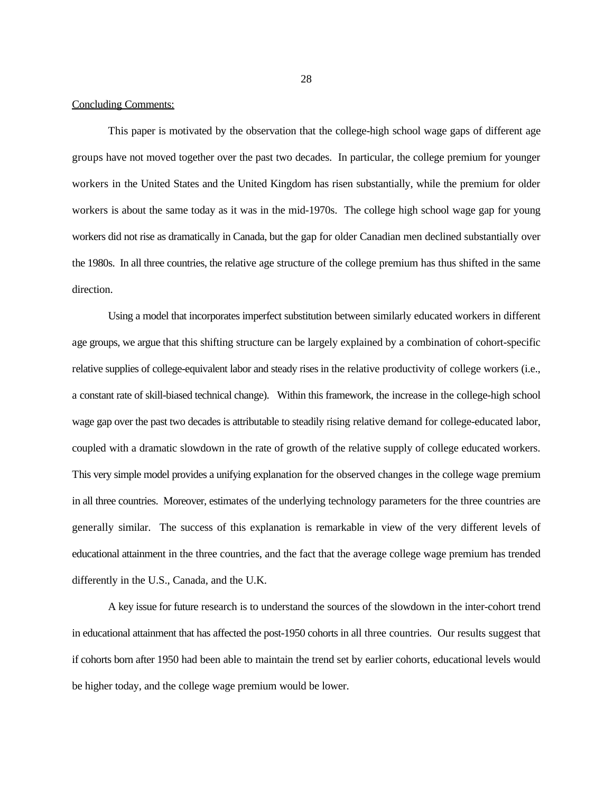# Concluding Comments:

This paper is motivated by the observation that the college-high school wage gaps of different age groups have not moved together over the past two decades. In particular, the college premium for younger workers in the United States and the United Kingdom has risen substantially, while the premium for older workers is about the same today as it was in the mid-1970s. The college high school wage gap for young workers did not rise as dramatically in Canada, but the gap for older Canadian men declined substantially over the 1980s. In all three countries, the relative age structure of the college premium has thus shifted in the same direction.

Using a model that incorporates imperfect substitution between similarly educated workers in different age groups, we argue that this shifting structure can be largely explained by a combination of cohort-specific relative supplies of college-equivalent labor and steady rises in the relative productivity of college workers (i.e., a constant rate of skill-biased technical change). Within this framework, the increase in the college-high school wage gap over the past two decades is attributable to steadily rising relative demand for college-educated labor, coupled with a dramatic slowdown in the rate of growth of the relative supply of college educated workers. This very simple model provides a unifying explanation for the observed changes in the college wage premium in all three countries. Moreover, estimates of the underlying technology parameters for the three countries are generally similar. The success of this explanation is remarkable in view of the very different levels of educational attainment in the three countries, and the fact that the average college wage premium has trended differently in the U.S., Canada, and the U.K.

A key issue for future research is to understand the sources of the slowdown in the inter-cohort trend in educational attainment that has affected the post-1950 cohorts in all three countries. Our results suggest that if cohorts born after 1950 had been able to maintain the trend set by earlier cohorts, educational levels would be higher today, and the college wage premium would be lower.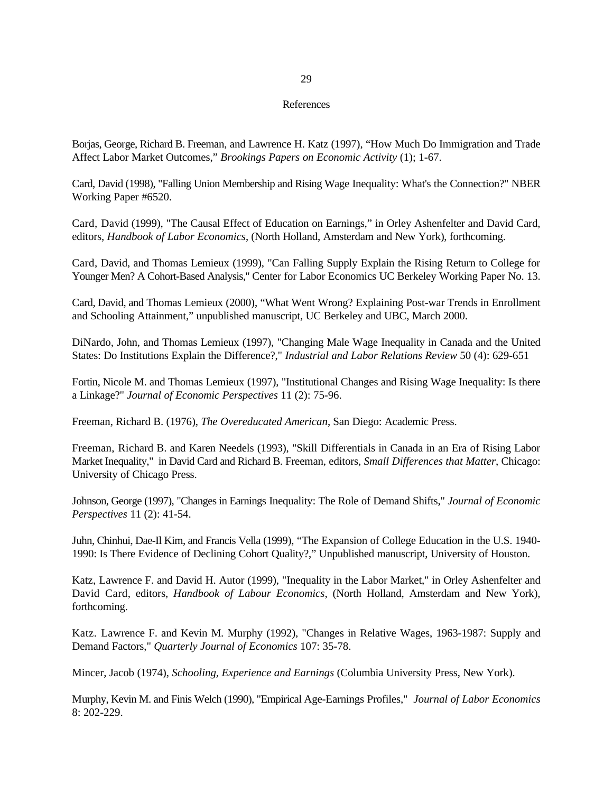### References

Borjas, George, Richard B. Freeman, and Lawrence H. Katz (1997), "How Much Do Immigration and Trade Affect Labor Market Outcomes," *Brookings Papers on Economic Activity* (1); 1-67.

Card, David (1998), "Falling Union Membership and Rising Wage Inequality: What's the Connection?" NBER Working Paper #6520.

Card, David (1999), "The Causal Effect of Education on Earnings," in Orley Ashenfelter and David Card, editors, *Handbook of Labor Economics*, (North Holland, Amsterdam and New York), forthcoming.

Card, David, and Thomas Lemieux (1999), "Can Falling Supply Explain the Rising Return to College for Younger Men? A Cohort-Based Analysis," Center for Labor Economics UC Berkeley Working Paper No. 13.

Card, David, and Thomas Lemieux (2000), "What Went Wrong? Explaining Post-war Trends in Enrollment and Schooling Attainment," unpublished manuscript, UC Berkeley and UBC, March 2000.

DiNardo, John, and Thomas Lemieux (1997), "Changing Male Wage Inequality in Canada and the United States: Do Institutions Explain the Difference?," *Industrial and Labor Relations Review* 50 (4): 629-651

Fortin, Nicole M. and Thomas Lemieux (1997), "Institutional Changes and Rising Wage Inequality: Is there a Linkage?" *Journal of Economic Perspectives* 11 (2): 75-96.

Freeman, Richard B. (1976), *The Overeducated American*, San Diego: Academic Press.

Freeman, Richard B. and Karen Needels (1993), "Skill Differentials in Canada in an Era of Rising Labor Market Inequality," in David Card and Richard B. Freeman, editors, *Small Differences that Matter*, Chicago: University of Chicago Press.

Johnson, George (1997), "Changes in Earnings Inequality: The Role of Demand Shifts," *Journal of Economic Perspectives* 11 (2): 41-54.

Juhn, Chinhui, Dae-Il Kim, and Francis Vella (1999), "The Expansion of College Education in the U.S. 1940- 1990: Is There Evidence of Declining Cohort Quality?," Unpublished manuscript, University of Houston.

Katz, Lawrence F. and David H. Autor (1999), "Inequality in the Labor Market," in Orley Ashenfelter and David Card, editors, *Handbook of Labour Economics*, (North Holland, Amsterdam and New York), forthcoming.

Katz. Lawrence F. and Kevin M. Murphy (1992), "Changes in Relative Wages, 1963-1987: Supply and Demand Factors," *Quarterly Journal of Economics* 107: 35-78.

Mincer, Jacob (1974), *Schooling, Experience and Earnings* (Columbia University Press, New York).

Murphy, Kevin M. and Finis Welch (1990), "Empirical Age-Earnings Profiles," *Journal of Labor Economics* 8: 202-229.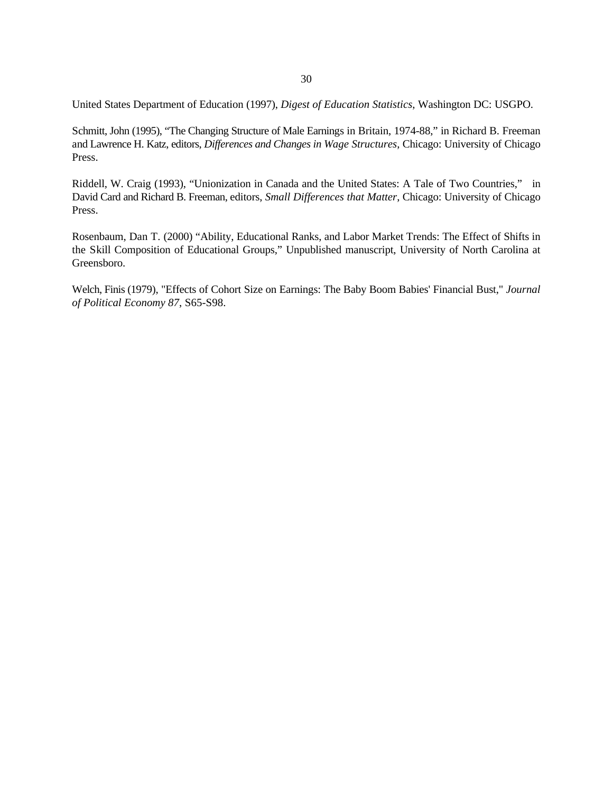United States Department of Education (1997), *Digest of Education Statistics*, Washington DC: USGPO.

Schmitt, John (1995), "The Changing Structure of Male Earnings in Britain, 1974-88," in Richard B. Freeman and Lawrence H. Katz, editors, *Differences and Changes in Wage Structures*, Chicago: University of Chicago Press.

Riddell, W. Craig (1993), "Unionization in Canada and the United States: A Tale of Two Countries," in David Card and Richard B. Freeman, editors, *Small Differences that Matter*, Chicago: University of Chicago Press.

Rosenbaum, Dan T. (2000) "Ability, Educational Ranks, and Labor Market Trends: The Effect of Shifts in the Skill Composition of Educational Groups," Unpublished manuscript, University of North Carolina at Greensboro.

Welch, Finis (1979), "Effects of Cohort Size on Earnings: The Baby Boom Babies' Financial Bust," *Journal of Political Economy 87*, S65-S98.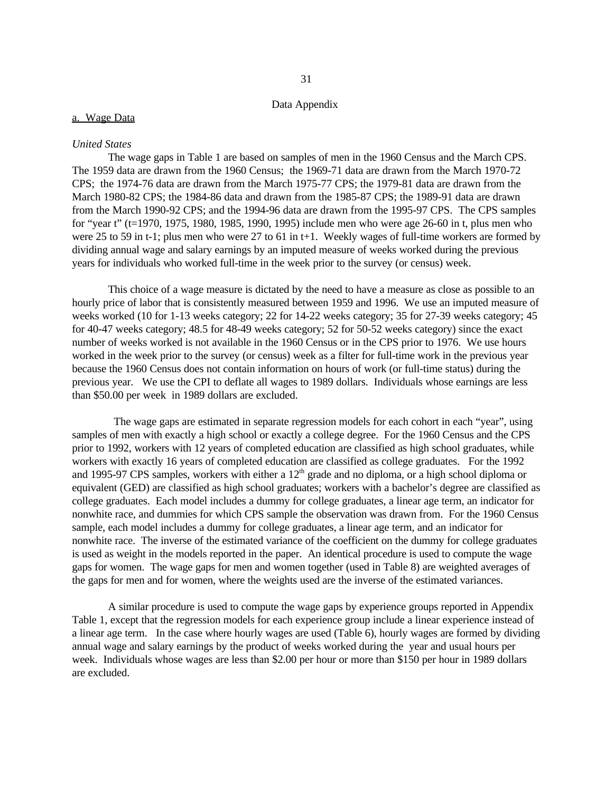# Data Appendix

### a. Wage Data

#### *United States*

The wage gaps in Table 1 are based on samples of men in the 1960 Census and the March CPS. The 1959 data are drawn from the 1960 Census; the 1969-71 data are drawn from the March 1970-72 CPS; the 1974-76 data are drawn from the March 1975-77 CPS; the 1979-81 data are drawn from the March 1980-82 CPS; the 1984-86 data and drawn from the 1985-87 CPS; the 1989-91 data are drawn from the March 1990-92 CPS; and the 1994-96 data are drawn from the 1995-97 CPS. The CPS samples for "year t" (t=1970, 1975, 1980, 1985, 1990, 1995) include men who were age 26-60 in t, plus men who were 25 to 59 in t-1; plus men who were 27 to 61 in t+1. Weekly wages of full-time workers are formed by dividing annual wage and salary earnings by an imputed measure of weeks worked during the previous years for individuals who worked full-time in the week prior to the survey (or census) week.

This choice of a wage measure is dictated by the need to have a measure as close as possible to an hourly price of labor that is consistently measured between 1959 and 1996. We use an imputed measure of weeks worked (10 for 1-13 weeks category; 22 for 14-22 weeks category; 35 for 27-39 weeks category; 45 for 40-47 weeks category; 48.5 for 48-49 weeks category; 52 for 50-52 weeks category) since the exact number of weeks worked is not available in the 1960 Census or in the CPS prior to 1976. We use hours worked in the week prior to the survey (or census) week as a filter for full-time work in the previous year because the 1960 Census does not contain information on hours of work (or full-time status) during the previous year. We use the CPI to deflate all wages to 1989 dollars. Individuals whose earnings are less than \$50.00 per week in 1989 dollars are excluded.

 The wage gaps are estimated in separate regression models for each cohort in each "year", using samples of men with exactly a high school or exactly a college degree. For the 1960 Census and the CPS prior to 1992, workers with 12 years of completed education are classified as high school graduates, while workers with exactly 16 years of completed education are classified as college graduates. For the 1992 and 1995-97 CPS samples, workers with either a  $12<sup>th</sup>$  grade and no diploma, or a high school diploma or equivalent (GED) are classified as high school graduates; workers with a bachelor's degree are classified as college graduates. Each model includes a dummy for college graduates, a linear age term, an indicator for nonwhite race, and dummies for which CPS sample the observation was drawn from. For the 1960 Census sample, each model includes a dummy for college graduates, a linear age term, and an indicator for nonwhite race. The inverse of the estimated variance of the coefficient on the dummy for college graduates is used as weight in the models reported in the paper. An identical procedure is used to compute the wage gaps for women. The wage gaps for men and women together (used in Table 8) are weighted averages of the gaps for men and for women, where the weights used are the inverse of the estimated variances.

A similar procedure is used to compute the wage gaps by experience groups reported in Appendix Table 1, except that the regression models for each experience group include a linear experience instead of a linear age term. In the case where hourly wages are used (Table 6), hourly wages are formed by dividing annual wage and salary earnings by the product of weeks worked during the year and usual hours per week. Individuals whose wages are less than \$2.00 per hour or more than \$150 per hour in 1989 dollars are excluded.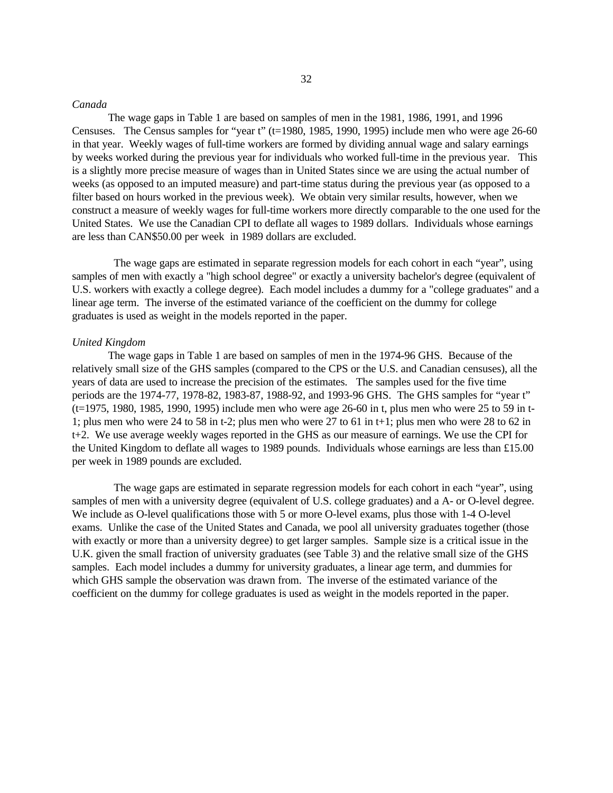#### *Canada*

The wage gaps in Table 1 are based on samples of men in the 1981, 1986, 1991, and 1996 Censuses. The Census samples for "year t"  $(t=1980, 1985, 1990, 1995)$  include men who were age 26-60 in that year. Weekly wages of full-time workers are formed by dividing annual wage and salary earnings by weeks worked during the previous year for individuals who worked full-time in the previous year. This is a slightly more precise measure of wages than in United States since we are using the actual number of weeks (as opposed to an imputed measure) and part-time status during the previous year (as opposed to a filter based on hours worked in the previous week). We obtain very similar results, however, when we construct a measure of weekly wages for full-time workers more directly comparable to the one used for the United States. We use the Canadian CPI to deflate all wages to 1989 dollars. Individuals whose earnings are less than CAN\$50.00 per week in 1989 dollars are excluded.

 The wage gaps are estimated in separate regression models for each cohort in each "year", using samples of men with exactly a "high school degree" or exactly a university bachelor's degree (equivalent of U.S. workers with exactly a college degree). Each model includes a dummy for a "college graduates" and a linear age term. The inverse of the estimated variance of the coefficient on the dummy for college graduates is used as weight in the models reported in the paper.

### *United Kingdom*

The wage gaps in Table 1 are based on samples of men in the 1974-96 GHS. Because of the relatively small size of the GHS samples (compared to the CPS or the U.S. and Canadian censuses), all the years of data are used to increase the precision of the estimates. The samples used for the five time periods are the 1974-77, 1978-82, 1983-87, 1988-92, and 1993-96 GHS. The GHS samples for "year t" (t=1975, 1980, 1985, 1990, 1995) include men who were age 26-60 in t, plus men who were 25 to 59 in t-1; plus men who were 24 to 58 in t-2; plus men who were 27 to 61 in t+1; plus men who were 28 to 62 in t+2. We use average weekly wages reported in the GHS as our measure of earnings. We use the CPI for the United Kingdom to deflate all wages to 1989 pounds. Individuals whose earnings are less than £15.00 per week in 1989 pounds are excluded.

 The wage gaps are estimated in separate regression models for each cohort in each "year", using samples of men with a university degree (equivalent of U.S. college graduates) and a A- or O-level degree. We include as O-level qualifications those with 5 or more O-level exams, plus those with 1-4 O-level exams. Unlike the case of the United States and Canada, we pool all university graduates together (those with exactly or more than a university degree) to get larger samples. Sample size is a critical issue in the U.K. given the small fraction of university graduates (see Table 3) and the relative small size of the GHS samples. Each model includes a dummy for university graduates, a linear age term, and dummies for which GHS sample the observation was drawn from. The inverse of the estimated variance of the coefficient on the dummy for college graduates is used as weight in the models reported in the paper.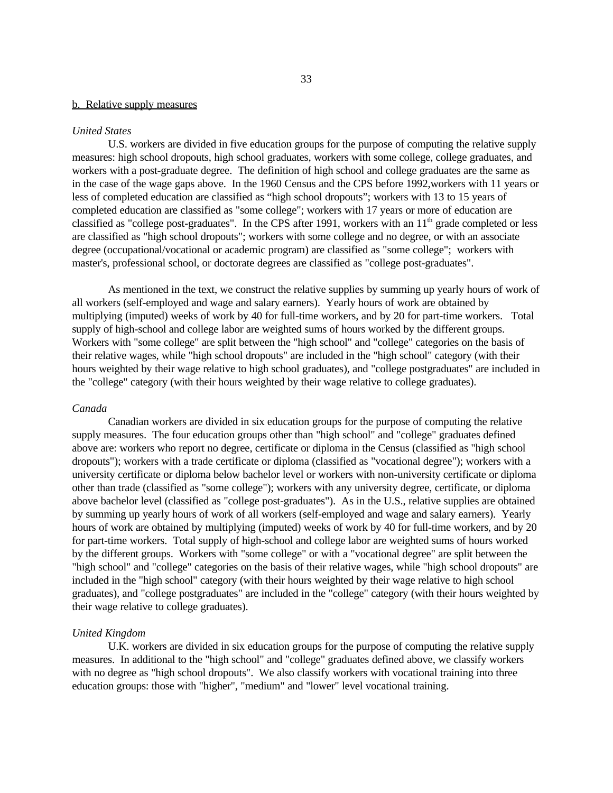### b. Relative supply measures

#### *United States*

U.S. workers are divided in five education groups for the purpose of computing the relative supply measures: high school dropouts, high school graduates, workers with some college, college graduates, and workers with a post-graduate degree. The definition of high school and college graduates are the same as in the case of the wage gaps above. In the 1960 Census and the CPS before 1992,workers with 11 years or less of completed education are classified as "high school dropouts"; workers with 13 to 15 years of completed education are classified as "some college"; workers with 17 years or more of education are classified as "college post-graduates". In the CPS after 1991, workers with an  $11<sup>th</sup>$  grade completed or less are classified as "high school dropouts"; workers with some college and no degree, or with an associate degree (occupational/vocational or academic program) are classified as "some college"; workers with master's, professional school, or doctorate degrees are classified as "college post-graduates".

As mentioned in the text, we construct the relative supplies by summing up yearly hours of work of all workers (self-employed and wage and salary earners). Yearly hours of work are obtained by multiplying (imputed) weeks of work by 40 for full-time workers, and by 20 for part-time workers. Total supply of high-school and college labor are weighted sums of hours worked by the different groups. Workers with "some college" are split between the "high school" and "college" categories on the basis of their relative wages, while "high school dropouts" are included in the "high school" category (with their hours weighted by their wage relative to high school graduates), and "college postgraduates" are included in the "college" category (with their hours weighted by their wage relative to college graduates).

### *Canada*

Canadian workers are divided in six education groups for the purpose of computing the relative supply measures. The four education groups other than "high school" and "college" graduates defined above are: workers who report no degree, certificate or diploma in the Census (classified as "high school dropouts"); workers with a trade certificate or diploma (classified as "vocational degree"); workers with a university certificate or diploma below bachelor level or workers with non-university certificate or diploma other than trade (classified as "some college"); workers with any university degree, certificate, or diploma above bachelor level (classified as "college post-graduates"). As in the U.S., relative supplies are obtained by summing up yearly hours of work of all workers (self-employed and wage and salary earners). Yearly hours of work are obtained by multiplying (imputed) weeks of work by 40 for full-time workers, and by 20 for part-time workers. Total supply of high-school and college labor are weighted sums of hours worked by the different groups. Workers with "some college" or with a "vocational degree" are split between the "high school" and "college" categories on the basis of their relative wages, while "high school dropouts" are included in the "high school" category (with their hours weighted by their wage relative to high school graduates), and "college postgraduates" are included in the "college" category (with their hours weighted by their wage relative to college graduates).

### *United Kingdom*

U.K. workers are divided in six education groups for the purpose of computing the relative supply measures. In additional to the "high school" and "college" graduates defined above, we classify workers with no degree as "high school dropouts". We also classify workers with vocational training into three education groups: those with "higher", "medium" and "lower" level vocational training.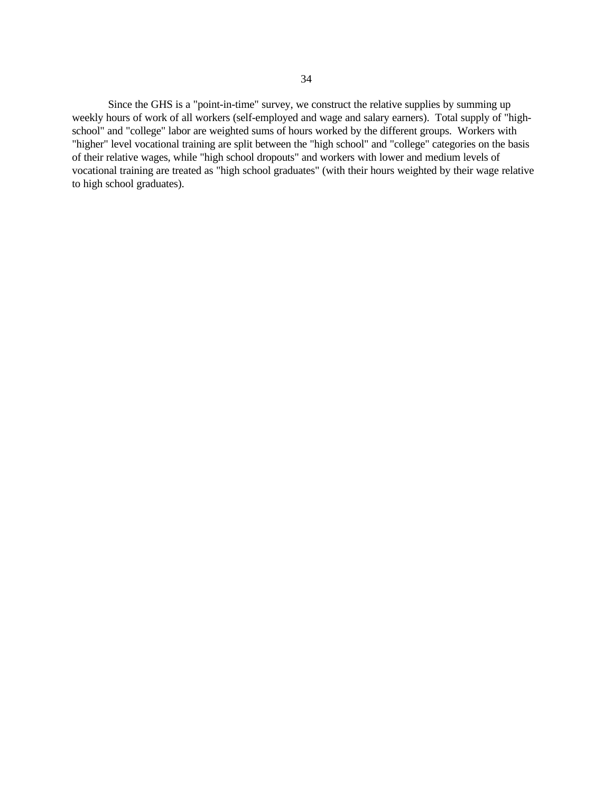Since the GHS is a "point-in-time" survey, we construct the relative supplies by summing up weekly hours of work of all workers (self-employed and wage and salary earners). Total supply of "highschool" and "college" labor are weighted sums of hours worked by the different groups. Workers with "higher" level vocational training are split between the "high school" and "college" categories on the basis of their relative wages, while "high school dropouts" and workers with lower and medium levels of vocational training are treated as "high school graduates" (with their hours weighted by their wage relative to high school graduates).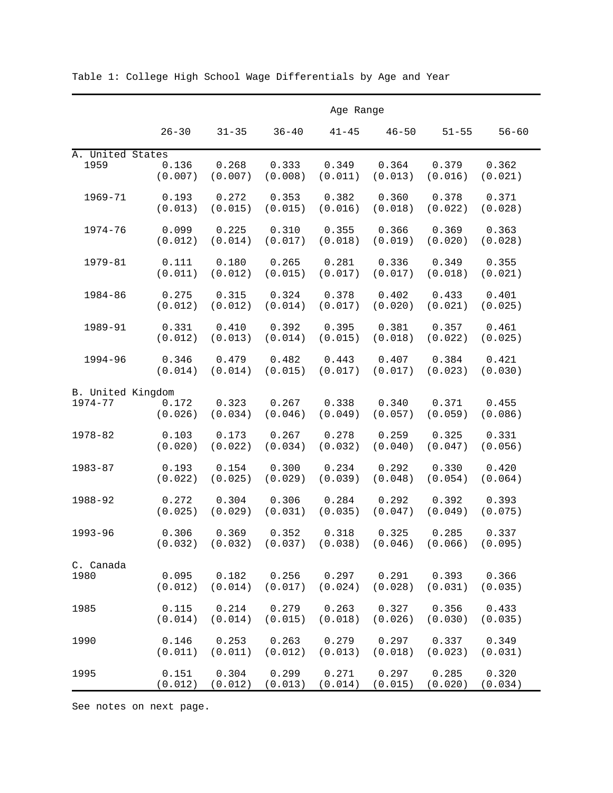|                              |                                                                    | Age Range        |                                    |                  |                                                                                          |                               |                  |  |  |  |
|------------------------------|--------------------------------------------------------------------|------------------|------------------------------------|------------------|------------------------------------------------------------------------------------------|-------------------------------|------------------|--|--|--|
|                              | $26 - 30$                                                          |                  |                                    |                  | $31-35$ $36-40$ $41-45$ $46-50$                                                          | $51 - 55$                     | $56 - 60$        |  |  |  |
| A. United States<br>1959     | 0.136<br>(0.007)                                                   | 0.268<br>(0.007) | (0.008)                            | (0.011)          | $0.333$ $0.349$ $0.364$ $0.379$ $0.362$                                                  | $(0.013)$ $(0.016)$ $(0.021)$ |                  |  |  |  |
| 1969-71                      | 0.193<br>(0.013)                                                   | (0.015)          | (0.015)                            | (0.016)          | $0.272$ $0.353$ $0.382$ $0.360$ $0.378$<br>(0.018)                                       | (0.022)                       | 0.371<br>(0.028) |  |  |  |
| 1974-76                      | $0.099$ $0.225$<br>(0.012)                                         | (0.014)          | 0.310<br>$(0.017)$ $(0.018)$       |                  | $0.355$ $0.366$ $0.369$<br>$(0.019)$ $(0.020)$ $(0.028)$                                 |                               | 0.363            |  |  |  |
| $1979 - 81$                  | 0.111<br>(0.011)                                                   | 0.180<br>(0.012) | (0.015)                            |                  | $0.265$ $0.281$ $0.336$ $0.349$<br>$(0.017)$ $(0.017)$ $(0.018)$                         |                               | 0.355<br>(0.021) |  |  |  |
| $1984 - 86$                  | 0.275<br>(0.012)                                                   | (0.012)          | $0.315$ $0.324$<br>(0.014)         | (0.017)          | $0.378$ $0.402$ $0.433$<br>(0.020)                                                       | (0.021)                       | 0.401<br>(0.025) |  |  |  |
| 1989-91                      | $0.331$ $0.410$ $0.392$ $0.395$ $0.381$ $0.357$ $0.461$<br>(0.012) | (0.013)          | (0.014)                            | (0.015)          |                                                                                          | $(0.018)$ $(0.022)$ $(0.025)$ |                  |  |  |  |
| 1994-96                      | (0.014)                                                            |                  | $(0.014)$ $(0.015)$                |                  | $0.346$ $0.479$ $0.482$ $0.443$ $0.407$ $0.384$ $0.421$<br>$(0.017)$ $(0.017)$ $(0.023)$ |                               | (0.030)          |  |  |  |
| B. United Kingdom<br>1974-77 | 0.172<br>(0.026)                                                   | (0.034)          | (0.046)                            | (0.049)          | $0.323$ $0.267$ $0.338$ $0.340$ $0.371$<br>(0.057)                                       | (0.059)                       | 0.455<br>(0.086) |  |  |  |
| 1978-82                      | (0.020)                                                            | (0.022)          | (0.034)                            | (0.032)          | $0.103$ $0.173$ $0.267$ $0.278$ $0.259$ $0.325$ $0.331$<br>(0.040)                       | $(0.047)$ $(0.056)$           |                  |  |  |  |
| $1983 - 87$                  | (0.022)                                                            | (0.025)          | $0.193$ $0.154$ $0.300$<br>(0.029) | (0.039)          | $0.234$ $0.292$ $0.330$ $0.420$<br>(0.048)                                               | (0.054)                       | (0.064)          |  |  |  |
| 1988-92                      | 0.272<br>(0.025)                                                   | (0.029)          | $0.304$ $0.306$<br>(0.031)         | 0.284<br>(0.035) | (0.047)                                                                                  | $0.292$ $0.392$<br>(0.049)    | 0.393<br>(0.075) |  |  |  |
| $1993 - 96$                  | 0.306                                                              | 0.369            | 0.352                              | 0.318            | 0.325<br>$(0.032)$ $(0.032)$ $(0.037)$ $(0.038)$ $(0.046)$ $(0.066)$ $(0.095)$           | 0.285                         | 0.337            |  |  |  |
| C. Canada<br>1980            | 0.095<br>(0.012)                                                   | 0.182<br>(0.014) | 0.256<br>(0.017)                   | 0.297<br>(0.024) | 0.291<br>(0.028)                                                                         | 0.393<br>(0.031)              | 0.366<br>(0.035) |  |  |  |
| 1985                         | 0.115<br>(0.014)                                                   | 0.214<br>(0.014) | 0.279<br>(0.015)                   | 0.263<br>(0.018) | 0.327<br>(0.026)                                                                         | 0.356<br>(0.030)              | 0.433<br>(0.035) |  |  |  |
| 1990                         | 0.146<br>(0.011)                                                   | 0.253<br>(0.011) | 0.263<br>(0.012)                   | 0.279<br>(0.013) | 0.297<br>(0.018)                                                                         | 0.337<br>(0.023)              | 0.349<br>(0.031) |  |  |  |
| 1995                         | 0.151<br>(0.012)                                                   | 0.304<br>(0.012) | 0.299<br>(0.013)                   | 0.271<br>(0.014) | 0.297<br>(0.015)                                                                         | 0.285<br>(0.020)              | 0.320<br>(0.034) |  |  |  |

Table 1: College High School Wage Differentials by Age and Year

See notes on next page.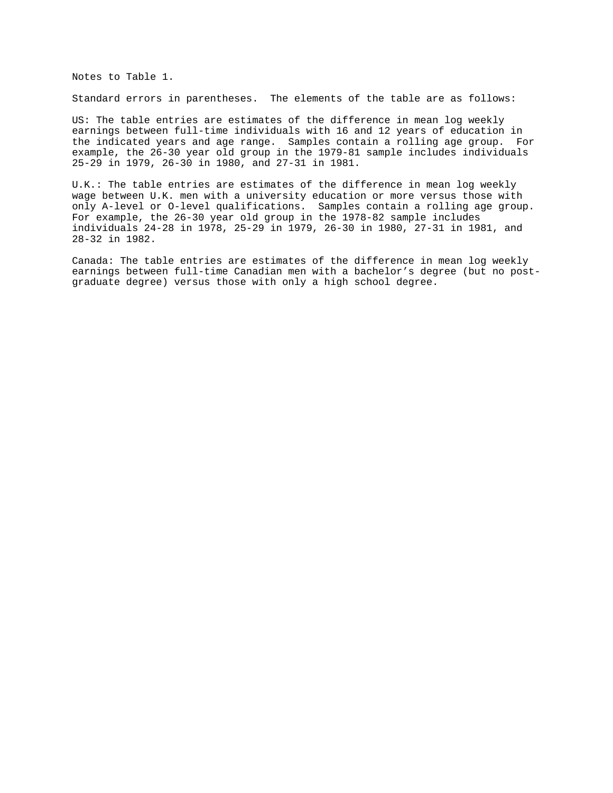Notes to Table 1.

Standard errors in parentheses. The elements of the table are as follows:

US: The table entries are estimates of the difference in mean log weekly earnings between full-time individuals with 16 and 12 years of education in the indicated years and age range. Samples contain a rolling age group. For example, the 26-30 year old group in the 1979-81 sample includes individuals 25-29 in 1979, 26-30 in 1980, and 27-31 in 1981.

U.K.: The table entries are estimates of the difference in mean log weekly wage between U.K. men with a university education or more versus those with only A-level or O-level qualifications. Samples contain a rolling age group. For example, the 26-30 year old group in the 1978-82 sample includes individuals 24-28 in 1978, 25-29 in 1979, 26-30 in 1980, 27-31 in 1981, and 28-32 in 1982.

Canada: The table entries are estimates of the difference in mean log weekly earnings between full-time Canadian men with a bachelor's degree (but no postgraduate degree) versus those with only a high school degree.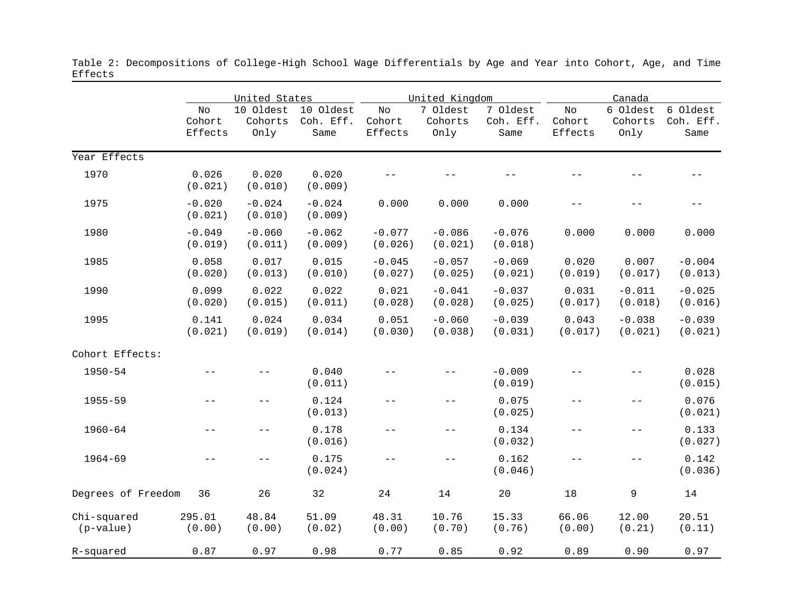|                            |                         | United States                |                                |                         | United Kingdom              |                               | Canada                  |                             |                               |
|----------------------------|-------------------------|------------------------------|--------------------------------|-------------------------|-----------------------------|-------------------------------|-------------------------|-----------------------------|-------------------------------|
|                            | No<br>Cohort<br>Effects | 10 Oldest<br>Cohorts<br>Only | 10 Oldest<br>Coh. Eff.<br>Same | No<br>Cohort<br>Effects | 7 Oldest<br>Cohorts<br>Only | 7 Oldest<br>Coh. Eff.<br>Same | No<br>Cohort<br>Effects | 6 Oldest<br>Cohorts<br>Only | 6 Oldest<br>Coh. Eff.<br>Same |
| Year Effects               |                         |                              |                                |                         |                             |                               |                         |                             |                               |
| 1970                       | 0.026<br>(0.021)        | 0.020<br>(0.010)             | 0.020<br>(0.009)               |                         |                             |                               |                         |                             |                               |
| 1975                       | $-0.020$<br>(0.021)     | $-0.024$<br>(0.010)          | $-0.024$<br>(0.009)            | 0.000                   | 0.000                       | 0.000                         |                         |                             | $- -$                         |
| 1980                       | $-0.049$<br>(0.019)     | $-0.060$<br>(0.011)          | $-0.062$<br>(0.009)            | $-0.077$<br>(0.026)     | $-0.086$<br>(0.021)         | $-0.076$<br>(0.018)           | 0.000                   | 0.000                       | 0.000                         |
| 1985                       | 0.058<br>(0.020)        | 0.017<br>(0.013)             | 0.015<br>(0.010)               | $-0.045$<br>(0.027)     | $-0.057$<br>(0.025)         | $-0.069$<br>(0.021)           | 0.020<br>(0.019)        | 0.007<br>(0.017)            | $-0.004$<br>(0.013)           |
| 1990                       | 0.099<br>(0.020)        | 0.022<br>(0.015)             | 0.022<br>(0.011)               | 0.021<br>(0.028)        | $-0.041$<br>(0.028)         | $-0.037$<br>(0.025)           | 0.031<br>(0.017)        | $-0.011$<br>(0.018)         | $-0.025$<br>(0.016)           |
| 1995                       | 0.141<br>(0.021)        | 0.024<br>(0.019)             | 0.034<br>(0.014)               | 0.051<br>(0.030)        | $-0.060$<br>(0.038)         | $-0.039$<br>(0.031)           | 0.043<br>(0.017)        | $-0.038$<br>(0.021)         | $-0.039$<br>(0.021)           |
| Cohort Effects:            |                         |                              |                                |                         |                             |                               |                         |                             |                               |
| $1950 - 54$                | $- -$                   | $- -$                        | 0.040<br>(0.011)               |                         | $ -$                        | $-0.009$<br>(0.019)           |                         | $- -$                       | 0.028<br>(0.015)              |
| $1955 - 59$                | $- -$                   | --                           | 0.124<br>(0.013)               |                         | $- -$                       | 0.075<br>(0.025)              |                         |                             | 0.076<br>(0.021)              |
| $1960 - 64$                | $ -$                    | $ -$                         | 0.178<br>(0.016)               | $ -$                    | $\qquad \qquad -$           | 0.134<br>(0.032)              | $ -$                    | $ -$                        | 0.133<br>(0.027)              |
| $1964 - 69$                | $- -$                   | $- -$                        | 0.175<br>(0.024)               | $ -$                    | $ -$                        | 0.162<br>(0.046)              | $- -$                   |                             | 0.142<br>(0.036)              |
| Degrees of Freedom         | 36                      | 26                           | 32                             | 24                      | 14                          | 20                            | 18                      | 9                           | 14                            |
| Chi-squared<br>$(p-value)$ | 295.01<br>(0.00)        | 48.84<br>(0.00)              | 51.09<br>(0.02)                | 48.31<br>(0.00)         | 10.76<br>(0.70)             | 15.33<br>(0.76)               | 66.06<br>(0.00)         | 12.00<br>(0.21)             | 20.51<br>(0.11)               |
| R-squared                  | 0.87                    | 0.97                         | 0.98                           | 0.77                    | 0.85                        | 0.92                          | 0.89                    | 0.90                        | 0.97                          |

Table 2: Decompositions of College-High School Wage Differentials by Age and Year into Cohort, Age, and Time Effects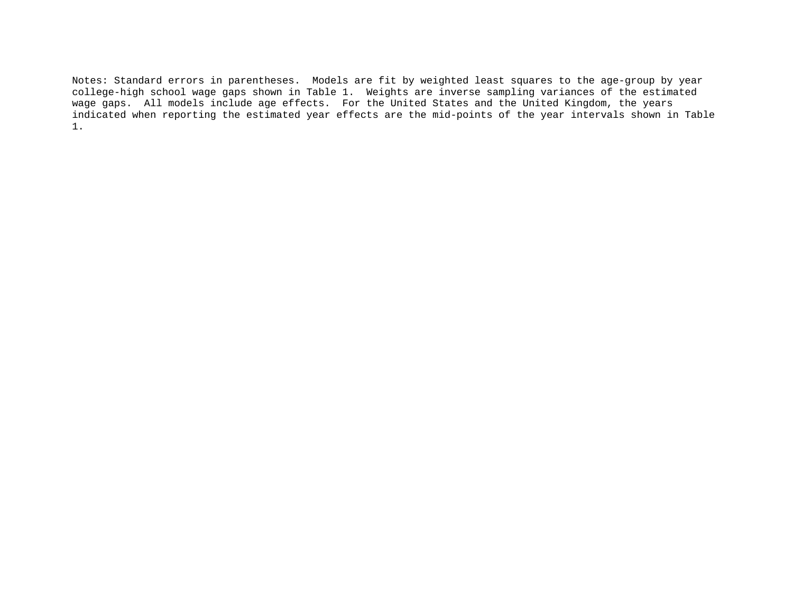Notes: Standard errors in parentheses. Models are fit by weighted least squares to the age-group by year college-high school wage gaps shown in Table 1. Weights are inverse sampling variances of the estimated wage gaps. All models include age effects. For the United States and the United Kingdom, the years indicated when reporting the estimated year effects are the mid-points of the year intervals shown in Table 1.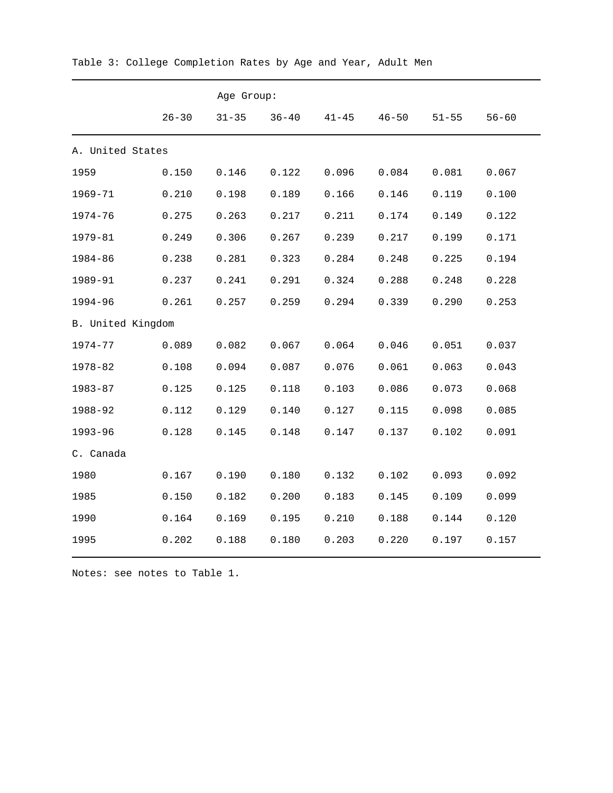|                   |           | Age Group: |           |           |           |           |           |  |  |
|-------------------|-----------|------------|-----------|-----------|-----------|-----------|-----------|--|--|
|                   | $26 - 30$ | $31 - 35$  | $36 - 40$ | $41 - 45$ | $46 - 50$ | $51 - 55$ | $56 - 60$ |  |  |
| A. United States  |           |            |           |           |           |           |           |  |  |
| 1959              | 0.150     | 0.146      | 0.122     | 0.096     | 0.084     | 0.081     | 0.067     |  |  |
| 1969-71           | 0.210     | 0.198      | 0.189     | 0.166     | 0.146     | 0.119     | 0.100     |  |  |
| 1974-76           | 0.275     | 0.263      | 0.217     | 0.211     | 0.174     | 0.149     | 0.122     |  |  |
| $1979 - 81$       | 0.249     | 0.306      | 0.267     | 0.239     | 0.217     | 0.199     | 0.171     |  |  |
| $1984 - 86$       | 0.238     | 0.281      | 0.323     | 0.284     | 0.248     | 0.225     | 0.194     |  |  |
| 1989-91           | 0.237     | 0.241      | 0.291     | 0.324     | 0.288     | 0.248     | 0.228     |  |  |
| 1994-96           | 0.261     | 0.257      | 0.259     | 0.294     | 0.339     | 0.290     | 0.253     |  |  |
| B. United Kingdom |           |            |           |           |           |           |           |  |  |
| 1974-77           | 0.089     | 0.082      | 0.067     | 0.064     | 0.046     | 0.051     | 0.037     |  |  |
| $1978 - 82$       | 0.108     | 0.094      | 0.087     | 0.076     | 0.061     | 0.063     | 0.043     |  |  |
| $1983 - 87$       | 0.125     | 0.125      | 0.118     | 0.103     | 0.086     | 0.073     | 0.068     |  |  |
| 1988-92           | 0.112     | 0.129      | 0.140     | 0.127     | 0.115     | 0.098     | 0.085     |  |  |
| 1993-96           | 0.128     | 0.145      | 0.148     | 0.147     | 0.137     | 0.102     | 0.091     |  |  |
| C. Canada         |           |            |           |           |           |           |           |  |  |
| 1980              | 0.167     | 0.190      | 0.180     | 0.132     | 0.102     | 0.093     | 0.092     |  |  |
| 1985              | 0.150     | 0.182      | 0.200     | 0.183     | 0.145     | 0.109     | 0.099     |  |  |
| 1990              | 0.164     | 0.169      | 0.195     | 0.210     | 0.188     | 0.144     | 0.120     |  |  |
| 1995              | 0.202     | 0.188      | 0.180     | 0.203     | 0.220     | 0.197     | 0.157     |  |  |

Notes: see notes to Table 1.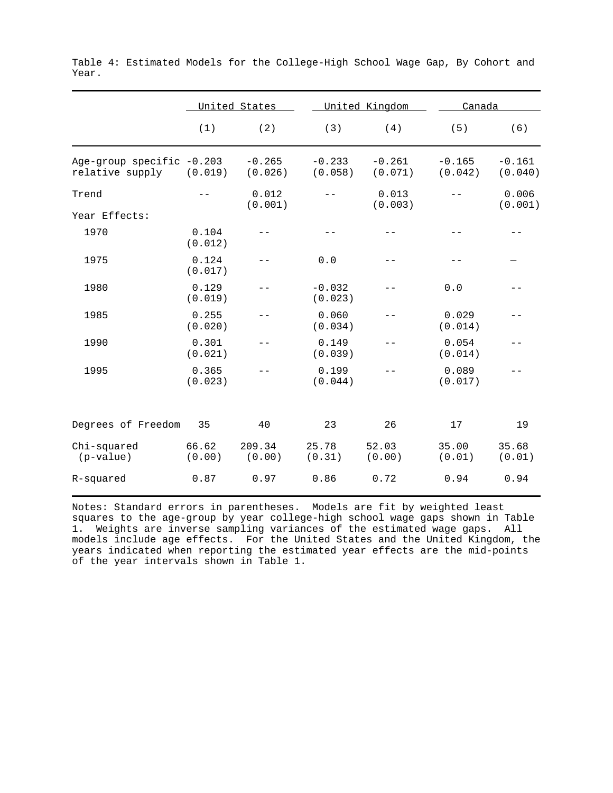|                                              | United States    |                     |                     | United Kingdom      | Canada              |                     |
|----------------------------------------------|------------------|---------------------|---------------------|---------------------|---------------------|---------------------|
|                                              | (1)              | (2)                 | (3)                 | (4)                 | (5)                 | (6)                 |
| Age-group specific -0.203<br>relative supply | (0.019)          | $-0.265$<br>(0.026) | $-0.233$<br>(0.058) | $-0.261$<br>(0.071) | $-0.165$<br>(0.042) | $-0.161$<br>(0.040) |
| Trend                                        |                  | 0.012<br>(0.001)    |                     | 0.013<br>(0.003)    |                     | 0.006<br>(0.001)    |
| Year Effects:                                |                  |                     |                     |                     |                     |                     |
| 1970                                         | 0.104<br>(0.012) |                     |                     |                     |                     |                     |
| 1975                                         | 0.124<br>(0.017) |                     | 0.0                 |                     |                     |                     |
| 1980                                         | 0.129<br>(0.019) |                     | $-0.032$<br>(0.023) |                     | 0.0                 |                     |
| 1985                                         | 0.255<br>(0.020) |                     | 0.060<br>(0.034)    |                     | 0.029<br>(0.014)    |                     |
| 1990                                         | 0.301<br>(0.021) |                     | 0.149<br>(0.039)    |                     | 0.054<br>(0.014)    |                     |
| 1995                                         | 0.365<br>(0.023) |                     | 0.199<br>(0.044)    |                     | 0.089<br>(0.017)    |                     |
| Degrees of Freedom                           | 35               | 40                  | 23                  | 26                  | 17                  | 19                  |
| Chi-squared<br>$(p-value)$                   | 66.62<br>(0.00)  | 209.34<br>(0.00)    | 25.78<br>(0.31)     | 52.03<br>(0.00)     | 35.00<br>(0.01)     | 35.68<br>(0.01)     |
| R-squared                                    | 0.87             | 0.97                | 0.86                | 0.72                | 0.94                | 0.94                |

Table 4: Estimated Models for the College-High School Wage Gap, By Cohort and Year.

Notes: Standard errors in parentheses. Models are fit by weighted least squares to the age-group by year college-high school wage gaps shown in Table 1. Weights are inverse sampling variances of the estimated wage gaps. All models include age effects. For the United States and the United Kingdom, the years indicated when reporting the estimated year effects are the mid-points of the year intervals shown in Table 1.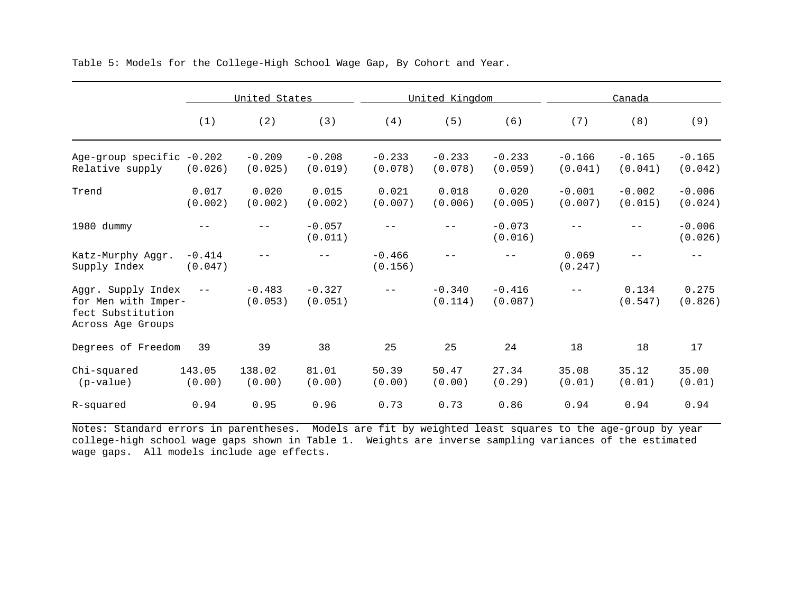|                                                                                     | United States       |                     |                     | United Kingdom      |                     |                     | Canada              |                     |                     |
|-------------------------------------------------------------------------------------|---------------------|---------------------|---------------------|---------------------|---------------------|---------------------|---------------------|---------------------|---------------------|
|                                                                                     | (1)                 | (2)                 | (3)                 | (4)                 | (5)                 | (6)                 | (7)                 | (8)                 | (9)                 |
| Age-group specific -0.202<br>Relative supply                                        | (0.026)             | $-0.209$<br>(0.025) | $-0.208$<br>(0.019) | $-0.233$<br>(0.078) | $-0.233$<br>(0.078) | $-0.233$<br>(0.059) | $-0.166$<br>(0.041) | $-0.165$<br>(0.041) | $-0.165$<br>(0.042) |
| Trend                                                                               | 0.017<br>(0.002)    | 0.020<br>(0.002)    | 0.015<br>(0.002)    | 0.021<br>(0.007)    | 0.018<br>(0.006)    | 0.020<br>(0.005)    | $-0.001$<br>(0.007) | $-0.002$<br>(0.015) | $-0.006$<br>(0.024) |
| 1980 dummy                                                                          |                     | --                  | $-0.057$<br>(0.011) |                     |                     | $-0.073$<br>(0.016) |                     |                     | $-0.006$<br>(0.026) |
| Katz-Murphy Aggr.<br>Supply Index                                                   | $-0.414$<br>(0.047) |                     |                     | $-0.466$<br>(0.156) |                     | $- -$               | 0.069<br>(0.247)    |                     | $- -$               |
| Aggr. Supply Index<br>for Men with Imper-<br>fect Substitution<br>Across Age Groups | $- -$               | $-0.483$<br>(0.053) | $-0.327$<br>(0.051) | $- -$               | $-0.340$<br>(0.114) | $-0.416$<br>(0.087) |                     | 0.134<br>(0.547)    | 0.275<br>(0.826)    |
| Degrees of Freedom                                                                  | 39                  | 39                  | 38                  | 25                  | 25                  | 24                  | 18                  | 18                  | 17                  |
| Chi-squared<br>$(p-value)$                                                          | 143.05<br>(0.00)    | 138.02<br>(0.00)    | 81.01<br>(0.00)     | 50.39<br>(0.00)     | 50.47<br>(0.00)     | 27.34<br>(0.29)     | 35.08<br>(0.01)     | 35.12<br>(0.01)     | 35.00<br>(0.01)     |
| R-squared                                                                           | 0.94                | 0.95                | 0.96                | 0.73                | 0.73                | 0.86                | 0.94                | 0.94                | 0.94                |

Table 5: Models for the College-High School Wage Gap, By Cohort and Year.

Notes: Standard errors in parentheses. Models are fit by weighted least squares to the age-group by year college-high school wage gaps shown in Table 1. Weights are inverse sampling variances of the estimated wage gaps. All models include age effects.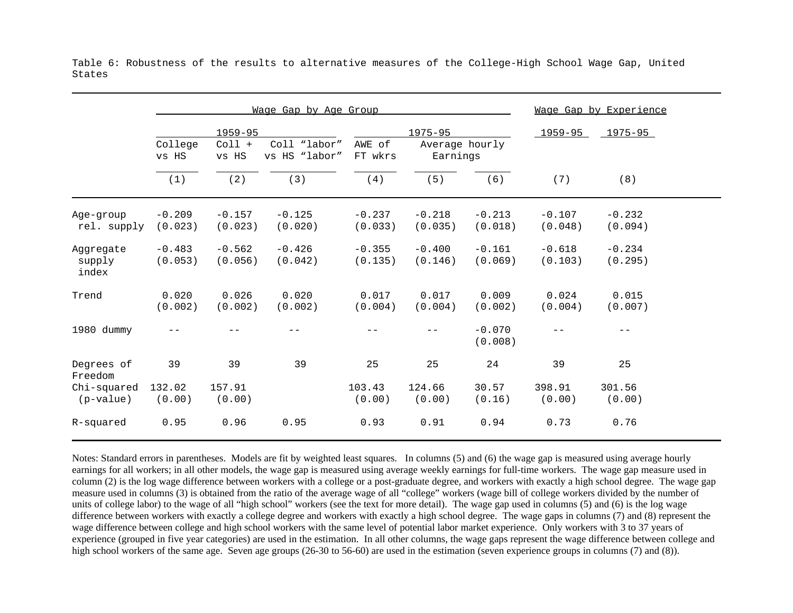|                              |                     | Wage Gap by Age Group |                               | Wage Gap by Experience                          |                     |                     |                     |                     |  |  |
|------------------------------|---------------------|-----------------------|-------------------------------|-------------------------------------------------|---------------------|---------------------|---------------------|---------------------|--|--|
|                              |                     | $1959 - 95$           |                               |                                                 | $1975 - 95$         |                     | $1959 - 95$         | $1975 - 95$         |  |  |
|                              | College<br>vs HS    | $Coll +$<br>vs HS     | Coll "labor"<br>vs HS "labor" | Average hourly<br>AWE of<br>Earnings<br>FT wkrs |                     |                     |                     |                     |  |  |
|                              | (1)                 | (2)                   | (3)                           | (4)                                             | (5)                 | (6)                 | (7)                 | (8)                 |  |  |
| Age-group                    | $-0.209$            | $-0.157$              | $-0.125$                      | $-0.237$                                        | $-0.218$            | $-0.213$            | $-0.107$            | $-0.232$            |  |  |
| rel. supply                  | (0.023)             | (0.023)               | (0.020)                       | (0.033)                                         | (0.035)             | (0.018)             | (0.048)             | (0.094)             |  |  |
| Aggregate<br>supply<br>index | $-0.483$<br>(0.053) | $-0.562$<br>(0.056)   | $-0.426$<br>(0.042)           | $-0.355$<br>(0.135)                             | $-0.400$<br>(0.146) | $-0.161$<br>(0.069) | $-0.618$<br>(0.103) | $-0.234$<br>(0.295) |  |  |
| Trend                        | 0.020<br>(0.002)    | 0.026<br>(0.002)      | 0.020<br>(0.002)              | 0.017<br>(0.004)                                | 0.017<br>(0.004)    | 0.009<br>(0.002)    | 0.024<br>(0.004)    | 0.015<br>(0.007)    |  |  |
| 1980 dummy                   |                     |                       |                               |                                                 |                     | $-0.070$<br>(0.008) |                     |                     |  |  |
| Degrees of<br>Freedom        | 39                  | 39                    | 39                            | 25                                              | 25                  | 24                  | 39                  | 25                  |  |  |
| Chi-squared<br>$(p-value)$   | 132.02<br>(0.00)    | 157.91<br>(0.00)      |                               | 103.43<br>(0.00)                                | 124.66<br>(0.00)    | 30.57<br>(0.16)     | 398.91<br>(0.00)    | 301.56<br>(0.00)    |  |  |
| R-squared                    | 0.95                | 0.96                  | 0.95                          | 0.93                                            | 0.91                | 0.94                | 0.73                | 0.76                |  |  |

Table 6: Robustness of the results to alternative measures of the College-High School Wage Gap, United States

Notes: Standard errors in parentheses. Models are fit by weighted least squares. In columns (5) and (6) the wage gap is measured using average hourly earnings for all workers; in all other models, the wage gap is measured using average weekly earnings for full-time workers. The wage gap measure used in column (2) is the log wage difference between workers with a college or a post-graduate degree, and workers with exactly a high school degree. The wage gap measure used in columns (3) is obtained from the ratio of the average wage of all "college" workers (wage bill of college workers divided by the number of units of college labor) to the wage of all "high school" workers (see the text for more detail). The wage gap used in columns (5) and (6) is the log wage difference between workers with exactly a college degree and workers with exactly a high school degree. The wage gaps in columns (7) and (8) represent the wage difference between college and high school workers with the same level of potential labor market experience. Only workers with 3 to 37 years of experience (grouped in five year categories) are used in the estimation. In all other columns, the wage gaps represent the wage difference between college and high school workers of the same age. Seven age groups (26-30 to 56-60) are used in the estimation (seven experience groups in columns (7) and (8)).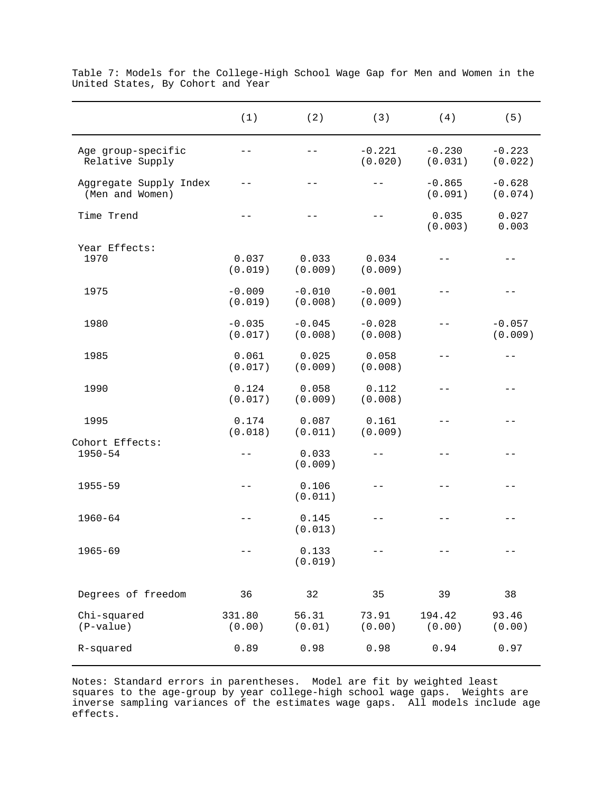|                                           | (1)                 | (2)                 | (3)                 | (4)                 | (5)                 |
|-------------------------------------------|---------------------|---------------------|---------------------|---------------------|---------------------|
| Age group-specific<br>Relative Supply     |                     |                     | $-0.221$<br>(0.020) | $-0.230$<br>(0.031) | $-0.223$<br>(0.022) |
| Aggregate Supply Index<br>(Men and Women) |                     |                     |                     | $-0.865$<br>(0.091) | $-0.628$<br>(0.074) |
| Time Trend                                |                     |                     |                     | 0.035<br>(0.003)    | 0.027<br>0.003      |
| Year Effects:<br>1970                     | 0.037<br>(0.019)    | 0.033<br>(0.009)    | 0.034<br>(0.009)    |                     |                     |
| 1975                                      | $-0.009$<br>(0.019) | $-0.010$<br>(0.008) | $-0.001$<br>(0.009) |                     |                     |
| 1980                                      | $-0.035$<br>(0.017) | $-0.045$<br>(0.008) | $-0.028$<br>(0.008) |                     | $-0.057$<br>(0.009) |
| 1985                                      | 0.061<br>(0.017)    | 0.025<br>(0.009)    | 0.058<br>(0.008)    |                     |                     |
| 1990                                      | 0.124<br>(0.017)    | 0.058<br>(0.009)    | 0.112<br>(0.008)    |                     |                     |
| 1995                                      | 0.174<br>(0.018)    | 0.087<br>(0.011)    | 0.161<br>(0.009)    |                     |                     |
| Cohort Effects:<br>1950-54                |                     | 0.033<br>(0.009)    |                     |                     |                     |
| $1955 - 59$                               |                     | 0.106<br>(0.011)    |                     |                     |                     |
| $1960 - 64$                               |                     | 0.145<br>(0.013)    |                     |                     |                     |
| 1965-69                                   | $- -$               | 0.133<br>(0.019)    | $- -$               | $- -$               | $- -$               |
| Degrees of freedom                        | 36                  | 32                  | 35                  | 39                  | 38                  |
| Chi-squared<br>$(P-value)$                | 331.80<br>(0.00)    | 56.31<br>(0.01)     | 73.91<br>(0.00)     | 194.42<br>(0.00)    | 93.46<br>(0.00)     |
| R-squared                                 | 0.89                | 0.98                | 0.98                | 0.94                | 0.97                |

Table 7: Models for the College-High School Wage Gap for Men and Women in the United States, By Cohort and Year

Notes: Standard errors in parentheses. Model are fit by weighted least squares to the age-group by year college-high school wage gaps. Weights are inverse sampling variances of the estimates wage gaps. All models include age effects.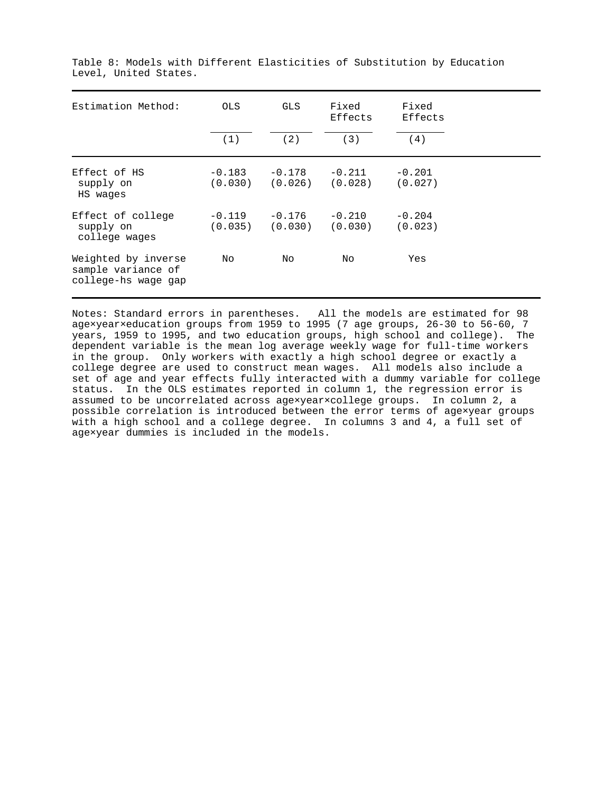| Estimation Method:                                               | <b>OLS</b><br>(1)   | <b>GLS</b><br>(2)                       | Fixed<br>Effects<br>(3) | Fixed<br>Effects<br>(4) |
|------------------------------------------------------------------|---------------------|-----------------------------------------|-------------------------|-------------------------|
| Effect of HS<br>supply on<br>HS waqes                            | $-0.183$<br>(0.030) | $-0.178$<br>$(0.026)$ $(0.028)$         | $-0.211$                | $-0.201$<br>(0.027)     |
| Effect of college<br>supply on<br>college wages                  | $-0.119$<br>(0.035) | $-0.176 - 0.210$<br>$(0.030)$ $(0.030)$ |                         | $-0.204$<br>(0.023)     |
| Weighted by inverse<br>sample variance of<br>college-hs wage gap | No                  | No.                                     | No                      | Yes                     |

Table 8: Models with Different Elasticities of Substitution by Education Level, United States.

Notes: Standard errors in parentheses. All the models are estimated for 98 age×year×education groups from 1959 to 1995 (7 age groups, 26-30 to 56-60, 7 years, 1959 to 1995, and two education groups, high school and college). The dependent variable is the mean log average weekly wage for full-time workers in the group. Only workers with exactly a high school degree or exactly a college degree are used to construct mean wages. All models also include a set of age and year effects fully interacted with a dummy variable for college status. In the OLS estimates reported in column 1, the regression error is assumed to be uncorrelated across age×year×college groups. In column 2, a possible correlation is introduced between the error terms of age×year groups with a high school and a college degree. In columns 3 and 4, a full set of age×year dummies is included in the models.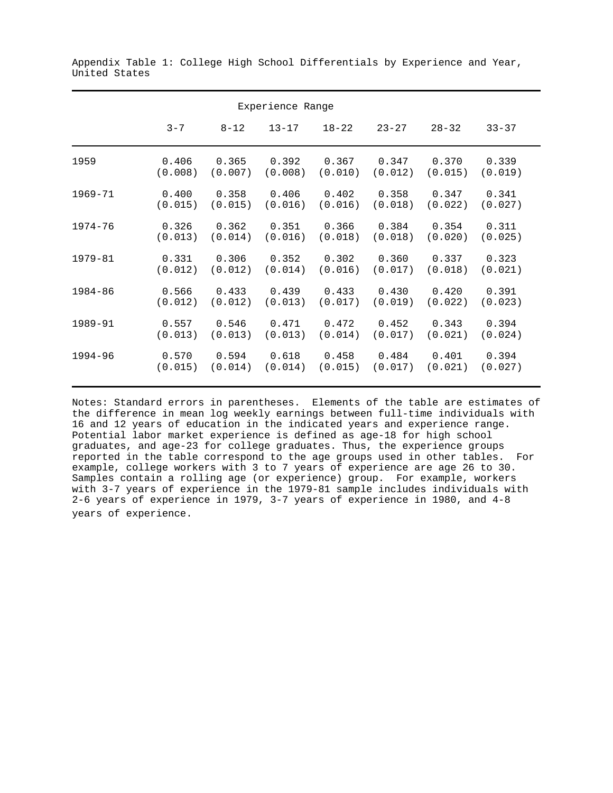| Experience Range |         |          |           |           |           |           |           |  |  |  |
|------------------|---------|----------|-----------|-----------|-----------|-----------|-----------|--|--|--|
|                  | $3 - 7$ | $8 - 12$ | $13 - 17$ | $18 - 22$ | $23 - 27$ | $28 - 32$ | $33 - 37$ |  |  |  |
| 1959             | 0.406   | 0.365    | 0.392     | 0.367     | 0.347     | 0.370     | 0.339     |  |  |  |
|                  | (0.008) | (0.007)  | (0.008)   | (0.010)   | (0.012)   | (0.015)   | (0.019)   |  |  |  |
| 1969-71          | 0.400   | 0.358    | 0.406     | 0.402     | 0.358     | 0.347     | 0.341     |  |  |  |
|                  | (0.015) | (0.015)  | (0.016)   | (0.016)   | (0.018)   | (0.022)   | (0.027)   |  |  |  |
| 1974-76          | 0.326   | 0.362    | 0.351     | 0.366     | 0.384     | 0.354     | 0.311     |  |  |  |
|                  | (0.013) | (0.014)  | (0.016)   | (0.018)   | (0.018)   | (0.020)   | (0.025)   |  |  |  |
| $1979 - 81$      | 0.331   | 0.306    | 0.352     | 0.302     | 0.360     | 0.337     | 0.323     |  |  |  |
|                  | (0.012) | (0.012)  | (0.014)   | (0.016)   | (0.017)   | (0.018)   | (0.021)   |  |  |  |
| $1984 - 86$      | 0.566   | 0.433    | 0.439     | 0.433     | 0.430     | 0.420     | 0.391     |  |  |  |
|                  | (0.012) | (0.012)  | (0.013)   | (0.017)   | (0.019)   | (0.022)   | (0.023)   |  |  |  |
| 1989-91          | 0.557   | 0.546    | 0.471     | 0.472     | 0.452     | 0.343     | 0.394     |  |  |  |
|                  | (0.013) | (0.013)  | (0.013)   | (0.014)   | (0.017)   | (0.021)   | (0.024)   |  |  |  |
| 1994-96          | 0.570   | 0.594    | 0.618     | 0.458     | 0.484     | 0.401     | 0.394     |  |  |  |
|                  | (0.015) | (0.014)  | (0.014)   | (0.015)   | (0.017)   | (0.021)   | (0.027)   |  |  |  |

Appendix Table 1: College High School Differentials by Experience and Year, United States

Notes: Standard errors in parentheses. Elements of the table are estimates of the difference in mean log weekly earnings between full-time individuals with 16 and 12 years of education in the indicated years and experience range. Potential labor market experience is defined as age-18 for high school graduates, and age-23 for college graduates. Thus, the experience groups reported in the table correspond to the age groups used in other tables. For example, college workers with 3 to 7 years of experience are age 26 to 30. Samples contain a rolling age (or experience) group. For example, workers with 3-7 years of experience in the 1979-81 sample includes individuals with 2-6 years of experience in 1979, 3-7 years of experience in 1980, and 4-8 years of experience.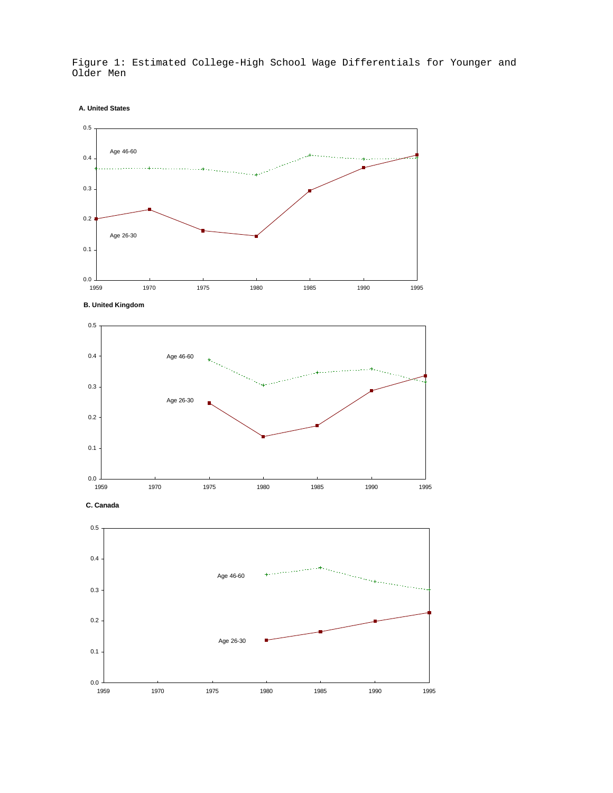Figure 1: Estimated College-High School Wage Differentials for Younger and Older Men

**A. United States**



**B. United Kingdom**





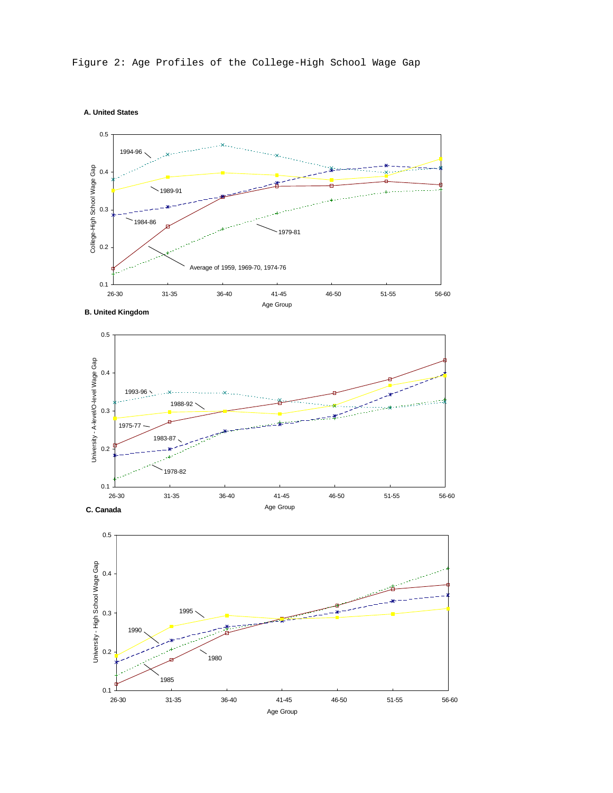







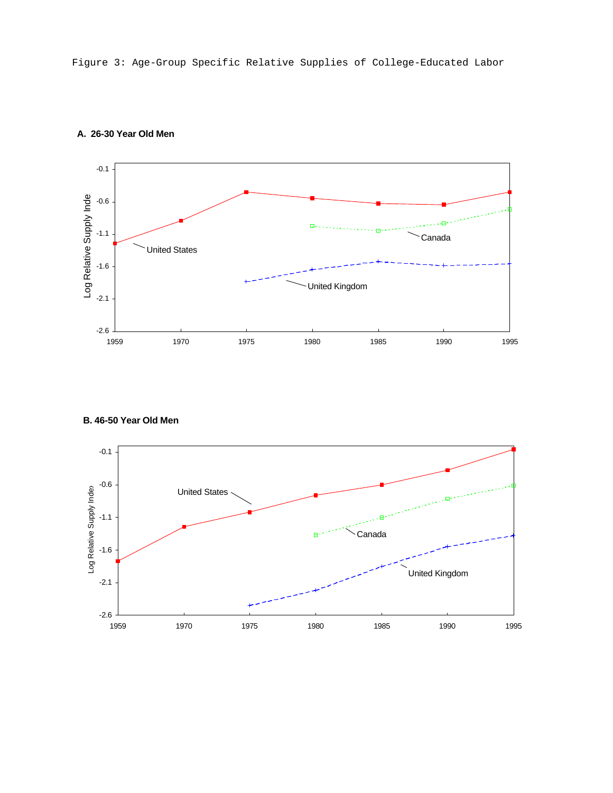

### **A. 26-30 Year Old Men**

**B. 46-50 Year Old Men**

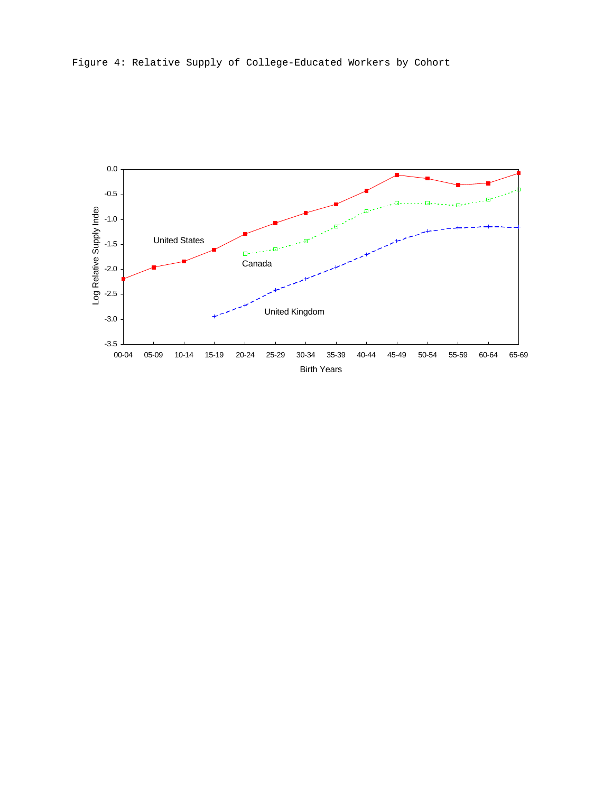

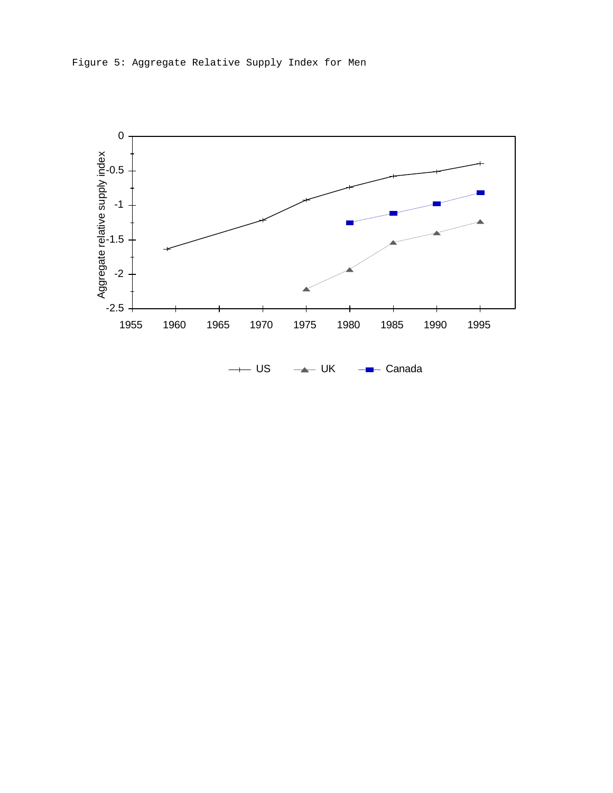